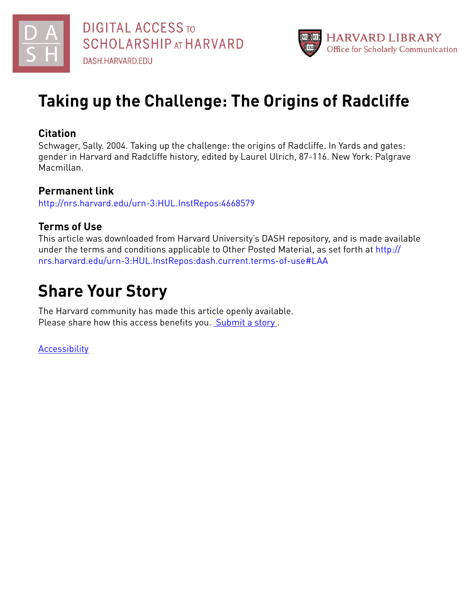



# **Taking up the Challenge: The Origins of Radcliffe**

## **Citation**

Schwager, Sally. 2004. Taking up the challenge: the origins of Radcliffe. In Yards and gates: gender in Harvard and Radcliffe history, edited by Laurel Ulrich, 87-116. New York: Palgrave Macmillan.

### **Permanent link**

<http://nrs.harvard.edu/urn-3:HUL.InstRepos:4668579>

## **Terms of Use**

This article was downloaded from Harvard University's DASH repository, and is made available under the terms and conditions applicable to Other Posted Material, as set forth at [http://](http://nrs.harvard.edu/urn-3:HUL.InstRepos:dash.current.terms-of-use#LAA) [nrs.harvard.edu/urn-3:HUL.InstRepos:dash.current.terms-of-use#LAA](http://nrs.harvard.edu/urn-3:HUL.InstRepos:dash.current.terms-of-use#LAA)

## **Share Your Story**

The Harvard community has made this article openly available. Please share how this access benefits you. [Submit](http://osc.hul.harvard.edu/dash/open-access-feedback?handle=&title=Taking%20up%20the%20Challenge:%20The%20Origins%20of%20Radcliffe&community=1/4662761&collection=1/4662763&owningCollection1/4662763&harvardAuthors=72fd45d555cf4d796ab3191e8623d053&department) a story .

**[Accessibility](https://dash.harvard.edu/pages/accessibility)**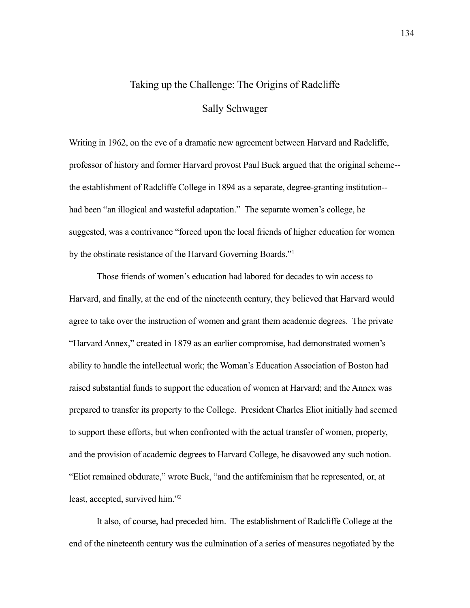### Taking up the Challenge: The Origins of Radcliffe

#### Sally Schwager

Writing in 1962, on the eve of a dramatic new agreement between Harvard and Radcliffe, professor of history and former Harvard provost Paul Buck argued that the original scheme- the establishment of Radcliffe College in 1894 as a separate, degree-granting institution- had been "an illogical and wasteful adaptation." The separate women's college, he suggested, was a contrivance "forced upon the local friends of higher education for women by the obstinate resistance of the Harvard Governing Boards."[1](#page-34-0)

Those friends of women's education had labored for decades to win access to Harvard, and finally, at the end of the nineteenth century, they believed that Harvard would agree to take over the instruction of women and grant them academic degrees. The private "Harvard Annex," created in 1879 as an earlier compromise, had demonstrated women's ability to handle the intellectual work; the Woman's Education Association of Boston had raised substantial funds to support the education of women at Harvard; and the Annex was prepared to transfer its property to the College. President Charles Eliot initially had seemed to support these efforts, but when confronted with the actual transfer of women, property, and the provision of academic degrees to Harvard College, he disavowed any such notion. "Eliot remained obdurate," wrote Buck, "and the antifeminism that he represented, or, at least, accepted, survived him.["2](#page-34-1)

It also, of course, had preceded him. The establishment of Radcliffe College at the end of the nineteenth century was the culmination of a series of measures negotiated by the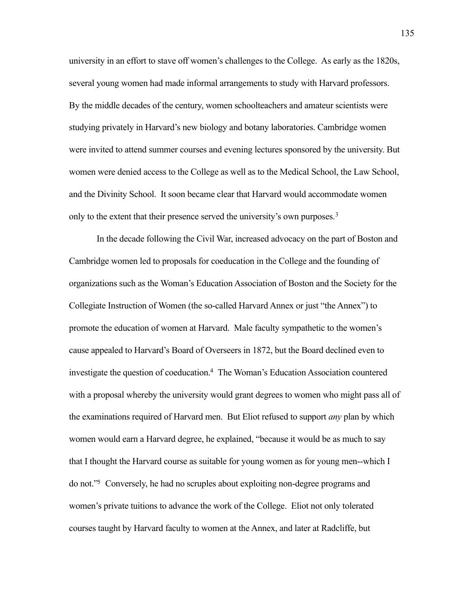university in an effort to stave off women's challenges to the College. As early as the 1820s, several young women had made informal arrangements to study with Harvard professors. By the middle decades of the century, women schoolteachers and amateur scientists were studying privately in Harvard's new biology and botany laboratories. Cambridge women were invited to attend summer courses and evening lectures sponsored by the university. But women were denied access to the College as well as to the Medical School, the Law School, and the Divinity School. It soon became clear that Harvard would accommodate women only to the extent that their presence served the university's own purposes.<sup>[3](#page-34-2)</sup>

In the decade following the Civil War, increased advocacy on the part of Boston and Cambridge women led to proposals for coeducation in the College and the founding of organizations such as the Woman's Education Association of Boston and the Society for the Collegiate Instruction of Women (the so-called Harvard Annex or just "the Annex") to promote the education of women at Harvard. Male faculty sympathetic to the women's cause appealed to Harvard's Board of Overseers in 1872, but the Board declined even to investigate the question of coeducation[.4](#page-35-0) The Woman's Education Association countered with a proposal whereby the university would grant degrees to women who might pass all of the examinations required of Harvard men. But Eliot refused to support *any* plan by which women would earn a Harvard degree, he explained, "because it would be as much to say that I thought the Harvard course as suitable for young women as for young men--which I do not.["5](#page-35-1) Conversely, he had no scruples about exploiting non-degree programs and women's private tuitions to advance the work of the College. Eliot not only tolerated courses taught by Harvard faculty to women at the Annex, and later at Radcliffe, but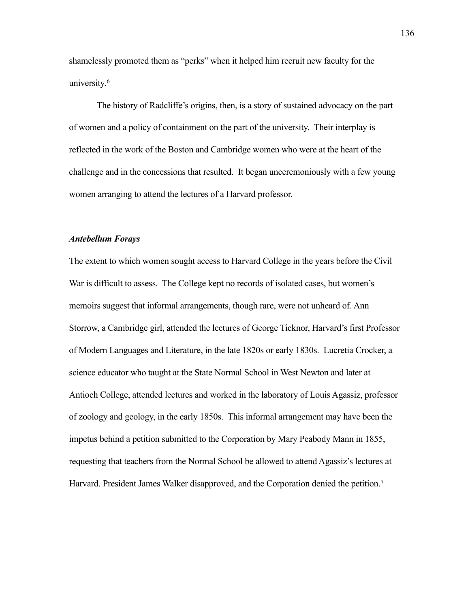shamelessly promoted them as "perks" when it helped him recruit new faculty for the university.<sup>6</sup>

The history of Radcliffe's origins, then, is a story of sustained advocacy on the part of women and a policy of containment on the part of the university. Their interplay is reflected in the work of the Boston and Cambridge women who were at the heart of the challenge and in the concessions that resulted. It began unceremoniously with a few young women arranging to attend the lectures of a Harvard professor.

#### *Antebellum Forays*

The extent to which women sought access to Harvard College in the years before the Civil War is difficult to assess. The College kept no records of isolated cases, but women's memoirs suggest that informal arrangements, though rare, were not unheard of. Ann Storrow, a Cambridge girl, attended the lectures of George Ticknor, Harvard's first Professor of Modern Languages and Literature, in the late 1820s or early 1830s. Lucretia Crocker, a science educator who taught at the State Normal School in West Newton and later at Antioch College, attended lectures and worked in the laboratory of Louis Agassiz, professor of zoology and geology, in the early 1850s. This informal arrangement may have been the impetus behind a petition submitted to the Corporation by Mary Peabody Mann in 1855, requesting that teachers from the Normal School be allowed to attend Agassiz's lectures at Harvard. President James Walker disapproved, and the Corporation denied the petition.<sup>7</sup>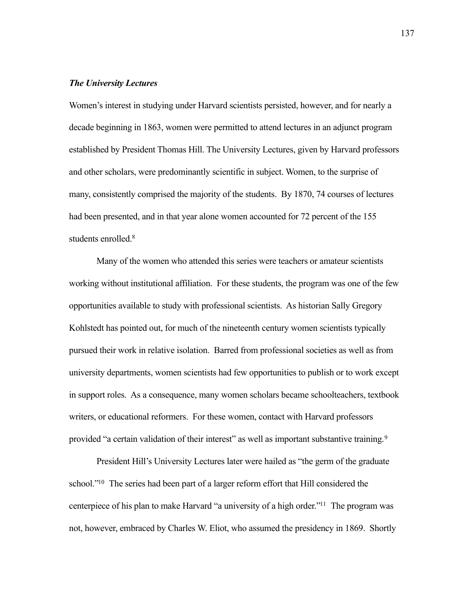#### *The University Lectures*

Women's interest in studying under Harvard scientists persisted, however, and for nearly a decade beginning in 1863, women were permitted to attend lectures in an adjunct program established by President Thomas Hill. The University Lectures, given by Harvard professors and other scholars, were predominantly scientific in subject. Women, to the surprise of many, consistently comprised the majority of the students. By 1870, 74 courses of lectures had been presented, and in that year alone women accounted for 72 percent of the 155 students enrolled.<sup>8</sup>

 Many of the women who attended this series were teachers or amateur scientists working without institutional affiliation. For these students, the program was one of the few opportunities available to study with professional scientists. As historian Sally Gregory Kohlstedt has pointed out, for much of the nineteenth century women scientists typically pursued their work in relative isolation. Barred from professional societies as well as from university departments, women scientists had few opportunities to publish or to work except in support roles. As a consequence, many women scholars became schoolteachers, textbook writers, or educational reformers. For these women, contact with Harvard professors provided "a certain validation of their interest" as well as important substantive training.<sup>[9](#page-38-1)</sup>

 President Hill's University Lectures later were hailed as "the germ of the graduate school."<sup>10</sup> The series had been part of a larger reform effort that Hill considered the centerpiece of his plan to make Harvard "a university of a high order.["11](#page-39-0) The program was not, however, embraced by Charles W. Eliot, who assumed the presidency in 1869. Shortly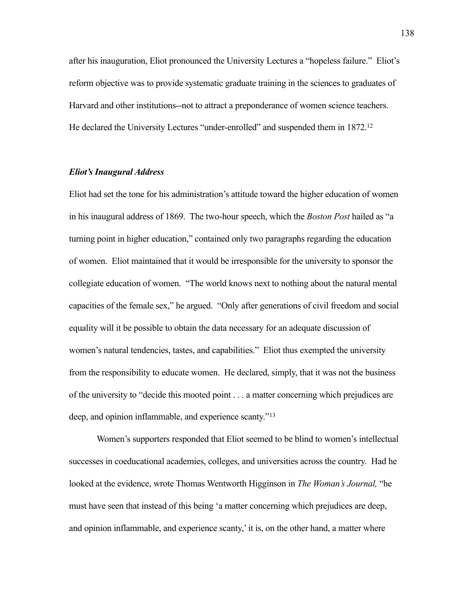after his inauguration, Eliot pronounced the University Lectures a "hopeless failure." Eliot's reform objective was to provide systematic graduate training in the sciences to graduates of Harvard and other institutions--not to attract a preponderance of women science teachers. He declared the University Lectures "under-enrolled" and suspended them in 1872[.12](#page-39-1)

#### *Eliot's Inaugural Address*

Eliot had set the tone for his administration's attitude toward the higher education of women in his inaugural address of 1869. The two-hour speech, which the *Boston Post* hailed as "a turning point in higher education," contained only two paragraphs regarding the education of women. Eliot maintained that it would be irresponsible for the university to sponsor the collegiate education of women. "The world knows next to nothing about the natural mental capacities of the female sex," he argued. "Only after generations of civil freedom and social equality will it be possible to obtain the data necessary for an adequate discussion of women's natural tendencies, tastes, and capabilities." Eliot thus exempted the university from the responsibility to educate women. He declared, simply, that it was not the business of the university to "decide this mooted point . . . a matter concerning which prejudices are deep, and opinion inflammable, and experience scanty."[13](#page-39-2)

Women's supporters responded that Eliot seemed to be blind to women's intellectual successes in coeducational academies, colleges, and universities across the country. Had he looked at the evidence, wrote Thomas Wentworth Higginson in *The Woman's Journal,* "he must have seen that instead of this being 'a matter concerning which prejudices are deep, and opinion inflammable, and experience scanty,' it is, on the other hand, a matter where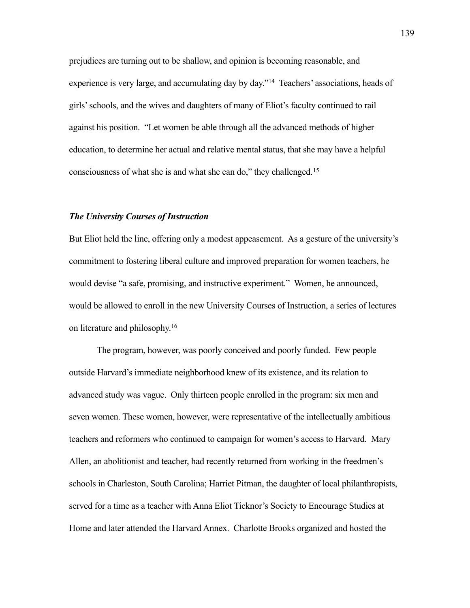prejudices are turning out to be shallow, and opinion is becoming reasonable, and experience is very large, and accumulating day by day.["14](#page-39-3) Teachers' associations, heads of girls' schools, and the wives and daughters of many of Eliot's faculty continued to rail against his position. "Let women be able through all the advanced methods of higher education, to determine her actual and relative mental status, that she may have a helpful consciousness of what she is and what she can do," they challenged.[15](#page-39-4)

#### *The University Courses of Instruction*

But Eliot held the line, offering only a modest appeasement. As a gesture of the university's commitment to fostering liberal culture and improved preparation for women teachers, he would devise "a safe, promising, and instructive experiment." Women, he announced, would be allowed to enroll in the new University Courses of Instruction, a series of lectures on literature and philosophy[.16](#page-39-5)

The program, however, was poorly conceived and poorly funded. Few people outside Harvard's immediate neighborhood knew of its existence, and its relation to advanced study was vague. Only thirteen people enrolled in the program: six men and seven women. These women, however, were representative of the intellectually ambitious teachers and reformers who continued to campaign for women's access to Harvard. Mary Allen, an abolitionist and teacher, had recently returned from working in the freedmen's schools in Charleston, South Carolina; Harriet Pitman, the daughter of local philanthropists, served for a time as a teacher with Anna Eliot Ticknor's Society to Encourage Studies at Home and later attended the Harvard Annex. Charlotte Brooks organized and hosted the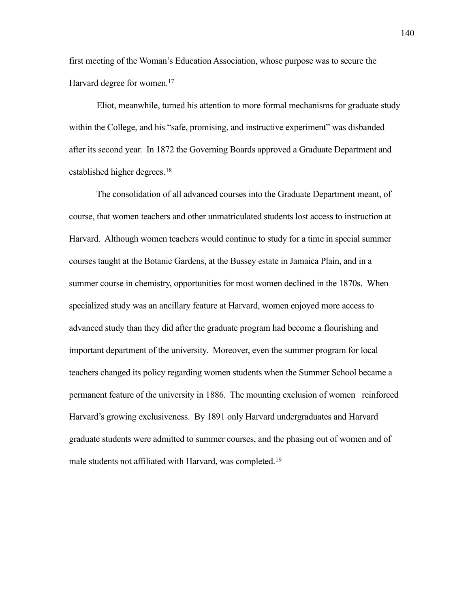first meeting of the Woman's Education Association, whose purpose was to secure the Harvard degree for women.<sup>17</sup>

Eliot, meanwhile, turned his attention to more formal mechanisms for graduate study within the College, and his "safe, promising, and instructive experiment" was disbanded after its second year. In 1872 the Governing Boards approved a Graduate Department and established higher degrees.<sup>[18](#page-40-1)</sup>

 The consolidation of all advanced courses into the Graduate Department meant, of course, that women teachers and other unmatriculated students lost access to instruction at Harvard. Although women teachers would continue to study for a time in special summer courses taught at the Botanic Gardens, at the Bussey estate in Jamaica Plain, and in a summer course in chemistry, opportunities for most women declined in the 1870s. When specialized study was an ancillary feature at Harvard, women enjoyed more access to advanced study than they did after the graduate program had become a flourishing and important department of the university. Moreover, even the summer program for local teachers changed its policy regarding women students when the Summer School became a permanent feature of the university in 1886. The mounting exclusion of women reinforced Harvard's growing exclusiveness. By 1891 only Harvard undergraduates and Harvard graduate students were admitted to summer courses, and the phasing out of women and of male students not affiliated with Harvard, was completed.[19](#page-41-0)

140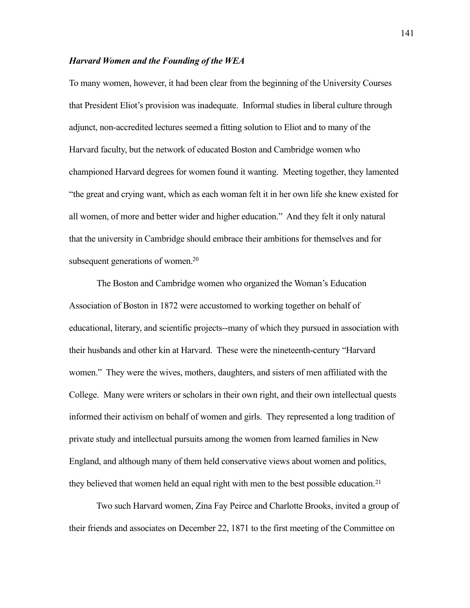#### *Harvard Women and the Founding of the WEA*

To many women, however, it had been clear from the beginning of the University Courses that President Eliot's provision was inadequate. Informal studies in liberal culture through adjunct, non-accredited lectures seemed a fitting solution to Eliot and to many of the Harvard faculty, but the network of educated Boston and Cambridge women who championed Harvard degrees for women found it wanting. Meeting together, they lamented "the great and crying want, which as each woman felt it in her own life she knew existed for all women, of more and better wider and higher education." And they felt it only natural that the university in Cambridge should embrace their ambitions for themselves and for subsequent generations of women.<sup>20</sup>

The Boston and Cambridge women who organized the Woman's Education Association of Boston in 1872 were accustomed to working together on behalf of educational, literary, and scientific projects--many of which they pursued in association with their husbands and other kin at Harvard. These were the nineteenth-century "Harvard women." They were the wives, mothers, daughters, and sisters of men affiliated with the College. Many were writers or scholars in their own right, and their own intellectual quests informed their activism on behalf of women and girls. They represented a long tradition of private study and intellectual pursuits among the women from learned families in New England, and although many of them held conservative views about women and politics, they believed that women held an equal right with men to the best possible education.<sup>[21](#page-42-1)</sup>

 Two such Harvard women, Zina Fay Peirce and Charlotte Brooks, invited a group of their friends and associates on December 22, 1871 to the first meeting of the Committee on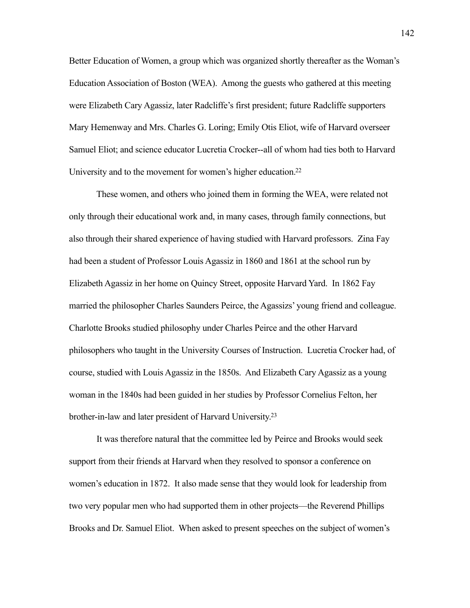Better Education of Women, a group which was organized shortly thereafter as the Woman's Education Association of Boston (WEA). Among the guests who gathered at this meeting were Elizabeth Cary Agassiz, later Radcliffe's first president; future Radcliffe supporters Mary Hemenway and Mrs. Charles G. Loring; Emily Otis Eliot, wife of Harvard overseer Samuel Eliot; and science educator Lucretia Crocker--all of whom had ties both to Harvard University and to the movement for women's higher education.<sup>22</sup>

 These women, and others who joined them in forming the WEA, were related not only through their educational work and, in many cases, through family connections, but also through their shared experience of having studied with Harvard professors. Zina Fay had been a student of Professor Louis Agassiz in 1860 and 1861 at the school run by Elizabeth Agassiz in her home on Quincy Street, opposite Harvard Yard. In 1862 Fay married the philosopher Charles Saunders Peirce, the Agassizs' young friend and colleague. Charlotte Brooks studied philosophy under Charles Peirce and the other Harvard philosophers who taught in the University Courses of Instruction. Lucretia Crocker had, of course, studied with Louis Agassiz in the 1850s. And Elizabeth Cary Agassiz as a young woman in the 1840s had been guided in her studies by Professor Cornelius Felton, her brother-in-law and later president of Harvard University[.23](#page-43-1)

 It was therefore natural that the committee led by Peirce and Brooks would seek support from their friends at Harvard when they resolved to sponsor a conference on women's education in 1872. It also made sense that they would look for leadership from two very popular men who had supported them in other projects—the Reverend Phillips Brooks and Dr. Samuel Eliot. When asked to present speeches on the subject of women's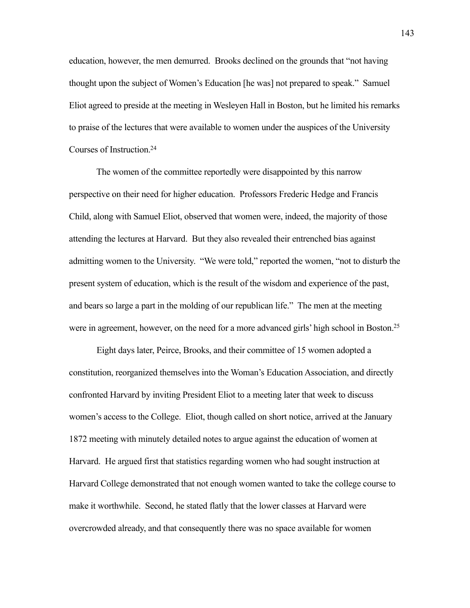education, however, the men demurred. Brooks declined on the grounds that "not having thought upon the subject of Women's Education [he was] not prepared to speak." Samuel Eliot agreed to preside at the meeting in Wesleyen Hall in Boston, but he limited his remarks to praise of the lectures that were available to women under the auspices of the University Courses of Instruction[.24](#page-43-2)

 The women of the committee reportedly were disappointed by this narrow perspective on their need for higher education. Professors Frederic Hedge and Francis Child, along with Samuel Eliot, observed that women were, indeed, the majority of those attending the lectures at Harvard. But they also revealed their entrenched bias against admitting women to the University. "We were told," reported the women, "not to disturb the present system of education, which is the result of the wisdom and experience of the past, and bears so large a part in the molding of our republican life." The men at the meeting were in agreement, however, on the need for a more advanced girls' high school in Boston.<sup>25</sup>

 Eight days later, Peirce, Brooks, and their committee of 15 women adopted a constitution, reorganized themselves into the Woman's Education Association, and directly confronted Harvard by inviting President Eliot to a meeting later that week to discuss women's access to the College. Eliot, though called on short notice, arrived at the January 1872 meeting with minutely detailed notes to argue against the education of women at Harvard. He argued first that statistics regarding women who had sought instruction at Harvard College demonstrated that not enough women wanted to take the college course to make it worthwhile. Second, he stated flatly that the lower classes at Harvard were overcrowded already, and that consequently there was no space available for women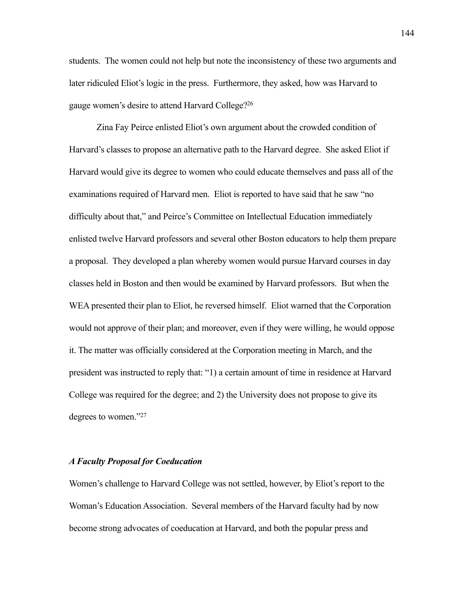students. The women could not help but note the inconsistency of these two arguments and later ridiculed Eliot's logic in the press. Furthermore, they asked, how was Harvard to gauge women's desire to attend Harvard College[?26](#page-43-4)

 Zina Fay Peirce enlisted Eliot's own argument about the crowded condition of Harvard's classes to propose an alternative path to the Harvard degree. She asked Eliot if Harvard would give its degree to women who could educate themselves and pass all of the examinations required of Harvard men. Eliot is reported to have said that he saw "no difficulty about that," and Peirce's Committee on Intellectual Education immediately enlisted twelve Harvard professors and several other Boston educators to help them prepare a proposal. They developed a plan whereby women would pursue Harvard courses in day classes held in Boston and then would be examined by Harvard professors. But when the WEA presented their plan to Eliot, he reversed himself. Eliot warned that the Corporation would not approve of their plan; and moreover, even if they were willing, he would oppose it. The matter was officially considered at the Corporation meeting in March, and the president was instructed to reply that: "1) a certain amount of time in residence at Harvard College was required for the degree; and 2) the University does not propose to give its degrees to women.["27](#page-43-5)

#### *A Faculty Proposal for Coeducation*

Women's challenge to Harvard College was not settled, however, by Eliot's report to the Woman's Education Association. Several members of the Harvard faculty had by now become strong advocates of coeducation at Harvard, and both the popular press and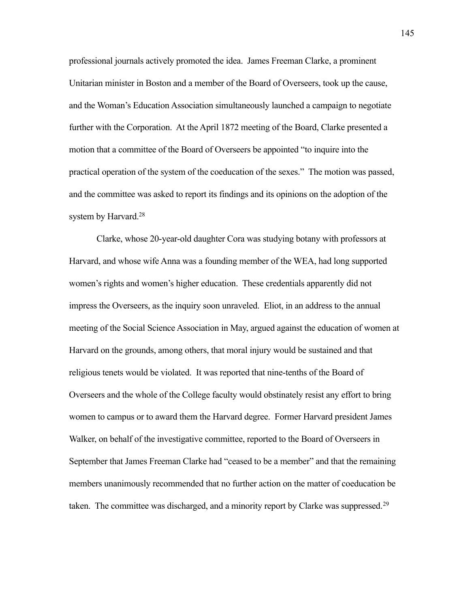professional journals actively promoted the idea. James Freeman Clarke, a prominent Unitarian minister in Boston and a member of the Board of Overseers, took up the cause, and the Woman's Education Association simultaneously launched a campaign to negotiate further with the Corporation. At the April 1872 meeting of the Board, Clarke presented a motion that a committee of the Board of Overseers be appointed "to inquire into the practical operation of the system of the coeducation of the sexes." The motion was passed, and the committee was asked to report its findings and its opinions on the adoption of the system by Harvard.<sup>28</sup>

 Clarke, whose 20-year-old daughter Cora was studying botany with professors at Harvard, and whose wife Anna was a founding member of the WEA, had long supported women's rights and women's higher education. These credentials apparently did not impress the Overseers, as the inquiry soon unraveled. Eliot, in an address to the annual meeting of the Social Science Association in May, argued against the education of women at Harvard on the grounds, among others, that moral injury would be sustained and that religious tenets would be violated. It was reported that nine-tenths of the Board of Overseers and the whole of the College faculty would obstinately resist any effort to bring women to campus or to award them the Harvard degree. Former Harvard president James Walker, on behalf of the investigative committee, reported to the Board of Overseers in September that James Freeman Clarke had "ceased to be a member" and that the remaining members unanimously recommended that no further action on the matter of coeducation be taken. The committee was discharged, and a minority report by Clarke was suppressed.<sup>[29](#page-44-0)</sup>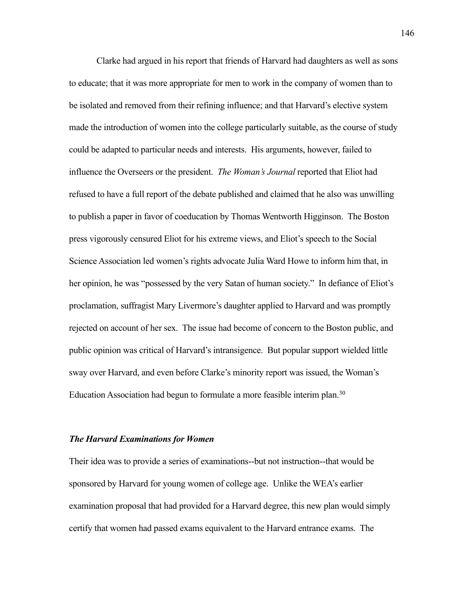Clarke had argued in his report that friends of Harvard had daughters as well as sons to educate; that it was more appropriate for men to work in the company of women than to be isolated and removed from their refining influence; and that Harvard's elective system made the introduction of women into the college particularly suitable, as the course of study could be adapted to particular needs and interests. His arguments, however, failed to influence the Overseers or the president. *The Woman's Journal* reported that Eliot had refused to have a full report of the debate published and claimed that he also was unwilling to publish a paper in favor of coeducation by Thomas Wentworth Higginson. The Boston press vigorously censured Eliot for his extreme views, and Eliot's speech to the Social Science Association led women's rights advocate Julia Ward Howe to inform him that, in her opinion, he was "possessed by the very Satan of human society." In defiance of Eliot's proclamation, suffragist Mary Livermore's daughter applied to Harvard and was promptly rejected on account of her sex. The issue had become of concern to the Boston public, and public opinion was critical of Harvard's intransigence. But popular support wielded little sway over Harvard, and even before Clarke's minority report was issued, the Woman's Education Association had begun to formulate a more feasible interim plan.[30](#page-44-1)

#### *The Harvard Examinations for Women*

Their idea was to provide a series of examinations--but not instruction--that would be sponsored by Harvard for young women of college age. Unlike the WEA's earlier examination proposal that had provided for a Harvard degree, this new plan would simply certify that women had passed exams equivalent to the Harvard entrance exams. The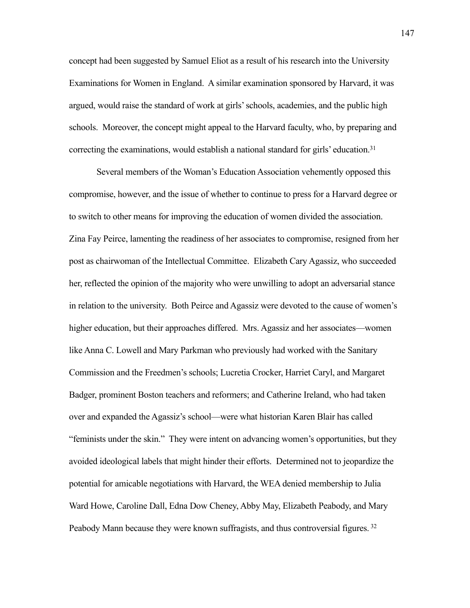concept had been suggested by Samuel Eliot as a result of his research into the University Examinations for Women in England. A similar examination sponsored by Harvard, it was argued, would raise the standard of work at girls' schools, academies, and the public high schools. Moreover, the concept might appeal to the Harvard faculty, who, by preparing and correcting the examinations, would establish a national standard for girls' education.<sup>31</sup>

 Several members of the Woman's Education Association vehemently opposed this compromise, however, and the issue of whether to continue to press for a Harvard degree or to switch to other means for improving the education of women divided the association. Zina Fay Peirce, lamenting the readiness of her associates to compromise, resigned from her post as chairwoman of the Intellectual Committee. Elizabeth Cary Agassiz, who succeeded her, reflected the opinion of the majority who were unwilling to adopt an adversarial stance in relation to the university. Both Peirce and Agassiz were devoted to the cause of women's higher education, but their approaches differed. Mrs. Agassiz and her associates—women like Anna C. Lowell and Mary Parkman who previously had worked with the Sanitary Commission and the Freedmen's schools; Lucretia Crocker, Harriet Caryl, and Margaret Badger, prominent Boston teachers and reformers; and Catherine Ireland, who had taken over and expanded the Agassiz's school—were what historian Karen Blair has called "feminists under the skin." They were intent on advancing women's opportunities, but they avoided ideological labels that might hinder their efforts. Determined not to jeopardize the potential for amicable negotiations with Harvard, the WEA denied membership to Julia Ward Howe, Caroline Dall, Edna Dow Cheney, Abby May, Elizabeth Peabody, and Mary Peabody Mann because they were known suffragists, and thus controversial figures. [32](#page-45-0)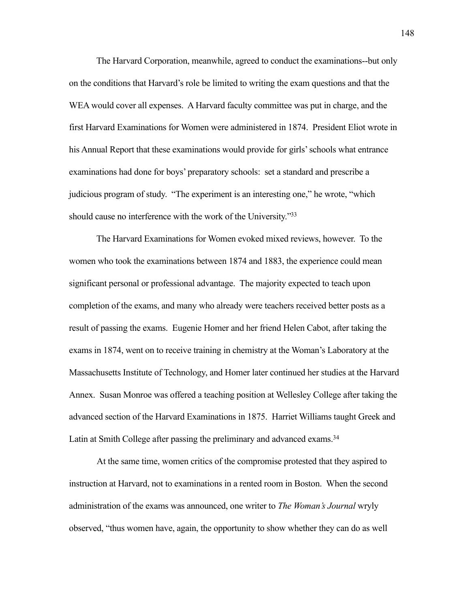The Harvard Corporation, meanwhile, agreed to conduct the examinations--but only on the conditions that Harvard's role be limited to writing the exam questions and that the WEA would cover all expenses. A Harvard faculty committee was put in charge, and the first Harvard Examinations for Women were administered in 1874. President Eliot wrote in his Annual Report that these examinations would provide for girls' schools what entrance examinations had done for boys' preparatory schools: set a standard and prescribe a judicious program of study. "The experiment is an interesting one," he wrote, "which should cause no interference with the work of the University."<sup>33</sup>

 The Harvard Examinations for Women evoked mixed reviews, however. To the women who took the examinations between 1874 and 1883, the experience could mean significant personal or professional advantage. The majority expected to teach upon completion of the exams, and many who already were teachers received better posts as a result of passing the exams. Eugenie Homer and her friend Helen Cabot, after taking the exams in 1874, went on to receive training in chemistry at the Woman's Laboratory at the Massachusetts Institute of Technology, and Homer later continued her studies at the Harvard Annex. Susan Monroe was offered a teaching position at Wellesley College after taking the advanced section of the Harvard Examinations in 1875. Harriet Williams taught Greek and Latin at Smith College after passing the preliminary and advanced exams.<sup>34</sup>

At the same time, women critics of the compromise protested that they aspired to instruction at Harvard, not to examinations in a rented room in Boston. When the second administration of the exams was announced, one writer to *The Woman's Journal* wryly observed, "thus women have, again, the opportunity to show whether they can do as well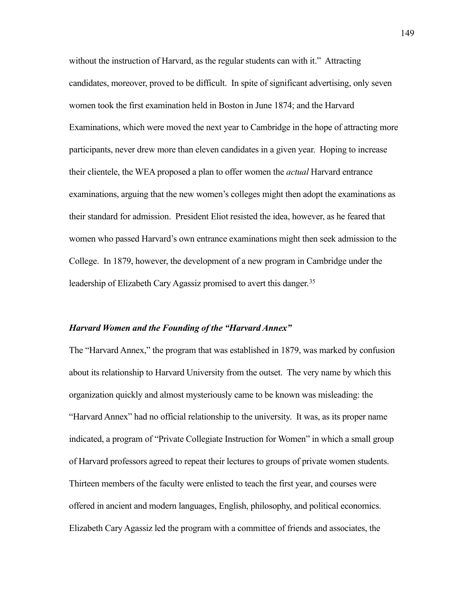without the instruction of Harvard, as the regular students can with it." Attracting candidates, moreover, proved to be difficult. In spite of significant advertising, only seven women took the first examination held in Boston in June 1874; and the Harvard Examinations, which were moved the next year to Cambridge in the hope of attracting more participants, never drew more than eleven candidates in a given year. Hoping to increase their clientele, the WEA proposed a plan to offer women the *actual* Harvard entrance examinations, arguing that the new women's colleges might then adopt the examinations as their standard for admission. President Eliot resisted the idea, however, as he feared that women who passed Harvard's own entrance examinations might then seek admission to the College. In 1879, however, the development of a new program in Cambridge under the leadership of Elizabeth Cary Agassiz promised to avert this danger.<sup>[35](#page-46-0)</sup>

#### *Harvard Women and the Founding of the "Harvard Annex"*

The "Harvard Annex," the program that was established in 1879, was marked by confusion about its relationship to Harvard University from the outset. The very name by which this organization quickly and almost mysteriously came to be known was misleading: the "Harvard Annex" had no official relationship to the university. It was, as its proper name indicated, a program of "Private Collegiate Instruction for Women" in which a small group of Harvard professors agreed to repeat their lectures to groups of private women students. Thirteen members of the faculty were enlisted to teach the first year, and courses were offered in ancient and modern languages, English, philosophy, and political economics. Elizabeth Cary Agassiz led the program with a committee of friends and associates, the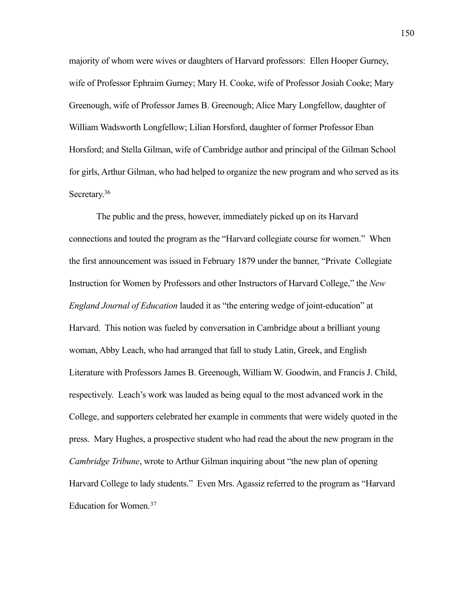majority of whom were wives or daughters of Harvard professors: Ellen Hooper Gurney, wife of Professor Ephraim Gurney; Mary H. Cooke, wife of Professor Josiah Cooke; Mary Greenough, wife of Professor James B. Greenough; Alice Mary Longfellow, daughter of William Wadsworth Longfellow; Lilian Horsford, daughter of former Professor Eban Horsford; and Stella Gilman, wife of Cambridge author and principal of the Gilman School for girls, Arthur Gilman, who had helped to organize the new program and who served as its Secretary.<sup>36</sup>

 The public and the press, however, immediately picked up on its Harvard connections and touted the program as the "Harvard collegiate course for women." When the first announcement was issued in February 1879 under the banner, "Private Collegiate Instruction for Women by Professors and other Instructors of Harvard College," the *New England Journal of Education* lauded it as "the entering wedge of joint-education" at Harvard. This notion was fueled by conversation in Cambridge about a brilliant young woman, Abby Leach, who had arranged that fall to study Latin, Greek, and English Literature with Professors James B. Greenough, William W. Goodwin, and Francis J. Child, respectively. Leach's work was lauded as being equal to the most advanced work in the College, and supporters celebrated her example in comments that were widely quoted in the press. Mary Hughes, a prospective student who had read the about the new program in the *Cambridge Tribune*, wrote to Arthur Gilman inquiring about "the new plan of opening Harvard College to lady students." Even Mrs. Agassiz referred to the program as "Harvard Education for Women.[37](#page-47-0)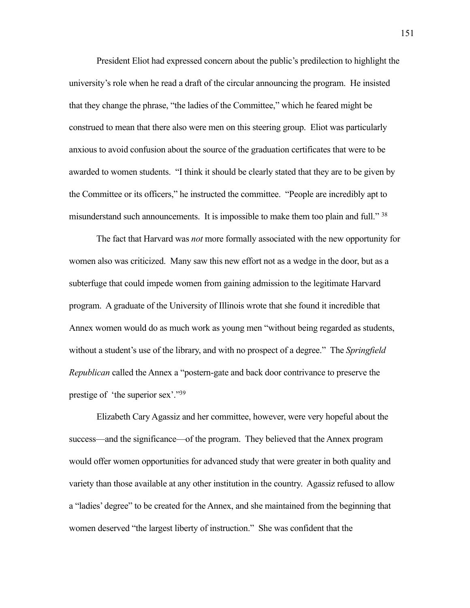President Eliot had expressed concern about the public's predilection to highlight the university's role when he read a draft of the circular announcing the program. He insisted that they change the phrase, "the ladies of the Committee," which he feared might be construed to mean that there also were men on this steering group. Eliot was particularly anxious to avoid confusion about the source of the graduation certificates that were to be awarded to women students. "I think it should be clearly stated that they are to be given by the Committee or its officers," he instructed the committee. "People are incredibly apt to misunderstand such announcements. It is impossible to make them too plain and full."<sup>38</sup>

 The fact that Harvard was *not* more formally associated with the new opportunity for women also was criticized. Many saw this new effort not as a wedge in the door, but as a subterfuge that could impede women from gaining admission to the legitimate Harvard program. A graduate of the University of Illinois wrote that she found it incredible that Annex women would do as much work as young men "without being regarded as students, without a student's use of the library, and with no prospect of a degree." The *Springfield Republican* called the Annex a "postern-gate and back door contrivance to preserve the prestige of 'the superior sex'.["39](#page-47-2)

 Elizabeth Cary Agassiz and her committee, however, were very hopeful about the success—and the significance—of the program. They believed that the Annex program would offer women opportunities for advanced study that were greater in both quality and variety than those available at any other institution in the country. Agassiz refused to allow a "ladies' degree" to be created for the Annex, and she maintained from the beginning that women deserved "the largest liberty of instruction." She was confident that the

151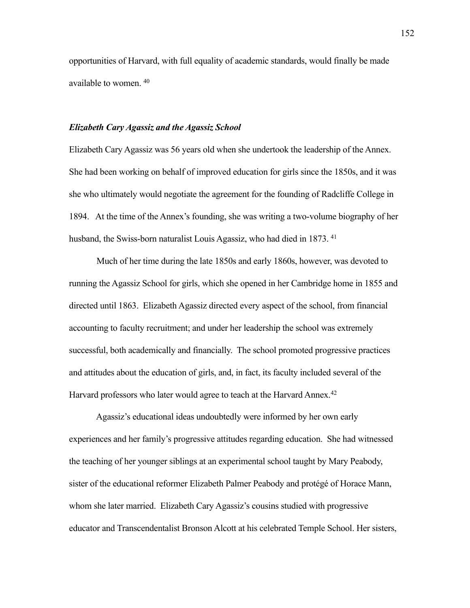opportunities of Harvard, with full equality of academic standards, would finally be made available to women. [40](#page-47-3)

#### *Elizabeth Cary Agassiz and the Agassiz School*

Elizabeth Cary Agassiz was 56 years old when she undertook the leadership of the Annex. She had been working on behalf of improved education for girls since the 1850s, and it was she who ultimately would negotiate the agreement for the founding of Radcliffe College in 1894. At the time of the Annex's founding, she was writing a two-volume biography of her husband, the Swiss-born naturalist Louis Agassiz, who had died in 1873.<sup>41</sup>

 Much of her time during the late 1850s and early 1860s, however, was devoted to running the Agassiz School for girls, which she opened in her Cambridge home in 1855 and directed until 1863. Elizabeth Agassiz directed every aspect of the school, from financial accounting to faculty recruitment; and under her leadership the school was extremely successful, both academically and financially. The school promoted progressive practices and attitudes about the education of girls, and, in fact, its faculty included several of the Harvard professors who later would agree to teach at the Harvard Annex.<sup>[42](#page-48-1)</sup>

 Agassiz's educational ideas undoubtedly were informed by her own early experiences and her family's progressive attitudes regarding education. She had witnessed the teaching of her younger siblings at an experimental school taught by Mary Peabody, sister of the educational reformer Elizabeth Palmer Peabody and protégé of Horace Mann, whom she later married. Elizabeth Cary Agassiz's cousins studied with progressive educator and Transcendentalist Bronson Alcott at his celebrated Temple School. Her sisters,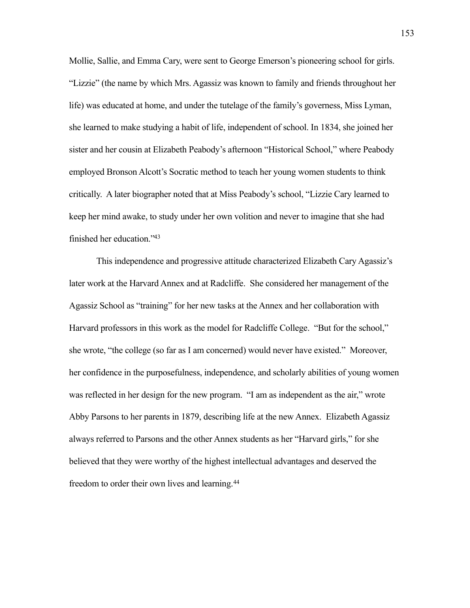Mollie, Sallie, and Emma Cary, were sent to George Emerson's pioneering school for girls. "Lizzie" (the name by which Mrs. Agassiz was known to family and friends throughout her life) was educated at home, and under the tutelage of the family's governess, Miss Lyman, she learned to make studying a habit of life, independent of school. In 1834, she joined her sister and her cousin at Elizabeth Peabody's afternoon "Historical School," where Peabody employed Bronson Alcott's Socratic method to teach her young women students to think critically. A later biographer noted that at Miss Peabody's school, "Lizzie Cary learned to keep her mind awake, to study under her own volition and never to imagine that she had finished her education.["43](#page-48-2)

 This independence and progressive attitude characterized Elizabeth Cary Agassiz's later work at the Harvard Annex and at Radcliffe. She considered her management of the Agassiz School as "training" for her new tasks at the Annex and her collaboration with Harvard professors in this work as the model for Radcliffe College. "But for the school," she wrote, "the college (so far as I am concerned) would never have existed." Moreover, her confidence in the purposefulness, independence, and scholarly abilities of young women was reflected in her design for the new program. "I am as independent as the air," wrote Abby Parsons to her parents in 1879, describing life at the new Annex. Elizabeth Agassiz always referred to Parsons and the other Annex students as her "Harvard girls," for she believed that they were worthy of the highest intellectual advantages and deserved the freedom to order their own lives and learning.[44](#page-49-0)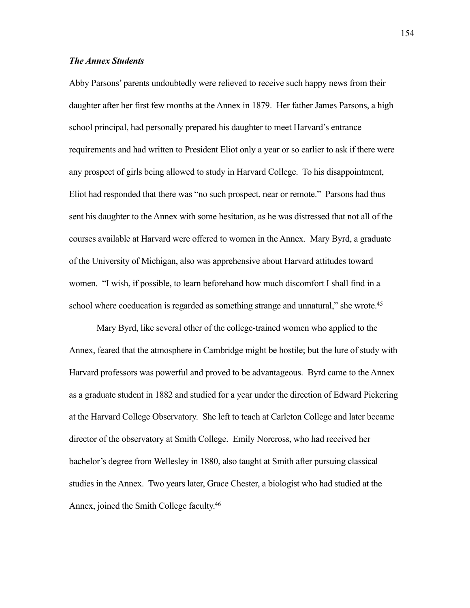#### *The Annex Students*

Abby Parsons' parents undoubtedly were relieved to receive such happy news from their daughter after her first few months at the Annex in 1879. Her father James Parsons, a high school principal, had personally prepared his daughter to meet Harvard's entrance requirements and had written to President Eliot only a year or so earlier to ask if there were any prospect of girls being allowed to study in Harvard College. To his disappointment, Eliot had responded that there was "no such prospect, near or remote." Parsons had thus sent his daughter to the Annex with some hesitation, as he was distressed that not all of the courses available at Harvard were offered to women in the Annex. Mary Byrd, a graduate of the University of Michigan, also was apprehensive about Harvard attitudes toward women. "I wish, if possible, to learn beforehand how much discomfort I shall find in a school where coeducation is regarded as something strange and unnatural," she wrote.<sup>45</sup>

 Mary Byrd, like several other of the college-trained women who applied to the Annex, feared that the atmosphere in Cambridge might be hostile; but the lure of study with Harvard professors was powerful and proved to be advantageous. Byrd came to the Annex as a graduate student in 1882 and studied for a year under the direction of Edward Pickering at the Harvard College Observatory. She left to teach at Carleton College and later became director of the observatory at Smith College. Emily Norcross, who had received her bachelor's degree from Wellesley in 1880, also taught at Smith after pursuing classical studies in the Annex. Two years later, Grace Chester, a biologist who had studied at the Annex, joined the Smith College faculty[.46](#page-49-2)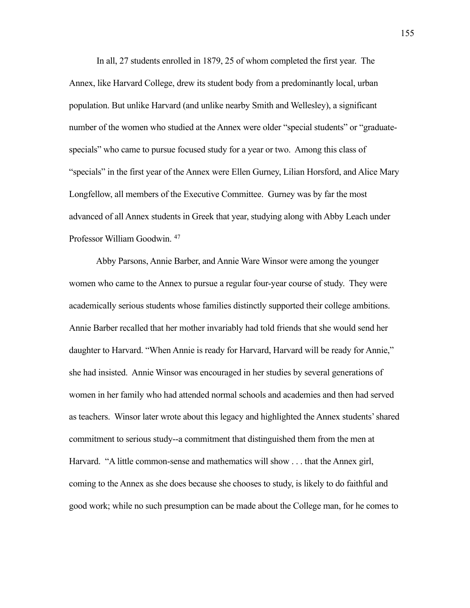In all, 27 students enrolled in 1879, 25 of whom completed the first year. The Annex, like Harvard College, drew its student body from a predominantly local, urban population. But unlike Harvard (and unlike nearby Smith and Wellesley), a significant number of the women who studied at the Annex were older "special students" or "graduatespecials" who came to pursue focused study for a year or two. Among this class of "specials" in the first year of the Annex were Ellen Gurney, Lilian Horsford, and Alice Mary Longfellow, all members of the Executive Committee. Gurney was by far the most advanced of all Annex students in Greek that year, studying along with Abby Leach under Professor William Goodwin. [47](#page-49-3)

 Abby Parsons, Annie Barber, and Annie Ware Winsor were among the younger women who came to the Annex to pursue a regular four-year course of study. They were academically serious students whose families distinctly supported their college ambitions. Annie Barber recalled that her mother invariably had told friends that she would send her daughter to Harvard. "When Annie is ready for Harvard, Harvard will be ready for Annie," she had insisted. Annie Winsor was encouraged in her studies by several generations of women in her family who had attended normal schools and academies and then had served as teachers. Winsor later wrote about this legacy and highlighted the Annex students' shared commitment to serious study--a commitment that distinguished them from the men at Harvard. "A little common-sense and mathematics will show . . . that the Annex girl, coming to the Annex as she does because she chooses to study, is likely to do faithful and good work; while no such presumption can be made about the College man, for he comes to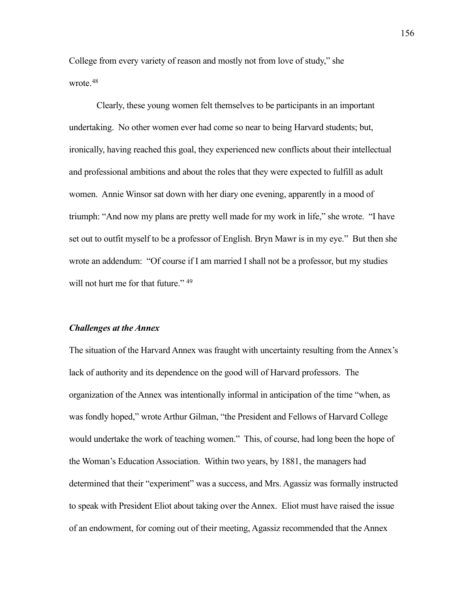College from every variety of reason and mostly not from love of study," she wrote.<sup>[48](#page-50-0)</sup>

 Clearly, these young women felt themselves to be participants in an important undertaking. No other women ever had come so near to being Harvard students; but, ironically, having reached this goal, they experienced new conflicts about their intellectual and professional ambitions and about the roles that they were expected to fulfill as adult women. Annie Winsor sat down with her diary one evening, apparently in a mood of triumph: "And now my plans are pretty well made for my work in life," she wrote. "I have set out to outfit myself to be a professor of English. Bryn Mawr is in my eye." But then she wrote an addendum: "Of course if I am married I shall not be a professor, but my studies will not hurt me for that future." <sup>[49](#page-50-1)</sup>

#### *Challenges at the Annex*

The situation of the Harvard Annex was fraught with uncertainty resulting from the Annex's lack of authority and its dependence on the good will of Harvard professors. The organization of the Annex was intentionally informal in anticipation of the time "when, as was fondly hoped," wrote Arthur Gilman, "the President and Fellows of Harvard College would undertake the work of teaching women." This, of course, had long been the hope of the Woman's Education Association. Within two years, by 1881, the managers had determined that their "experiment" was a success, and Mrs. Agassiz was formally instructed to speak with President Eliot about taking over the Annex. Eliot must have raised the issue of an endowment, for coming out of their meeting, Agassiz recommended that the Annex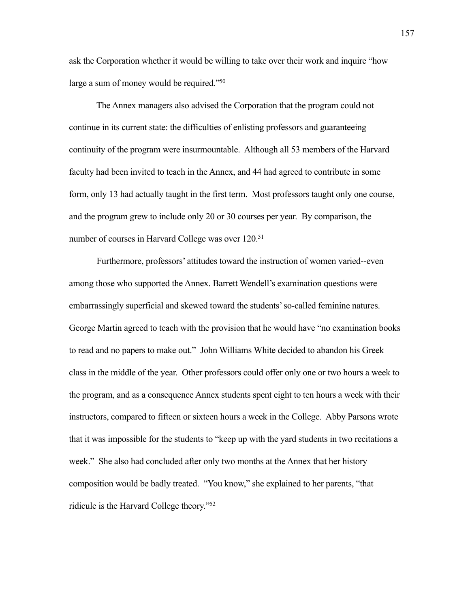ask the Corporation whether it would be willing to take over their work and inquire "how large a sum of money would be required.["50](#page-50-2)

 The Annex managers also advised the Corporation that the program could not continue in its current state: the difficulties of enlisting professors and guaranteeing continuity of the program were insurmountable. Although all 53 members of the Harvard faculty had been invited to teach in the Annex, and 44 had agreed to contribute in some form, only 13 had actually taught in the first term. Most professors taught only one course, and the program grew to include only 20 or 30 courses per year. By comparison, the number of courses in Harvard College was over 120.<sup>51</sup>

Furthermore, professors' attitudes toward the instruction of women varied--even among those who supported the Annex. Barrett Wendell's examination questions were embarrassingly superficial and skewed toward the students' so-called feminine natures. George Martin agreed to teach with the provision that he would have "no examination books to read and no papers to make out." John Williams White decided to abandon his Greek class in the middle of the year. Other professors could offer only one or two hours a week to the program, and as a consequence Annex students spent eight to ten hours a week with their instructors, compared to fifteen or sixteen hours a week in the College. Abby Parsons wrote that it was impossible for the students to "keep up with the yard students in two recitations a week." She also had concluded after only two months at the Annex that her history composition would be badly treated. "You know," she explained to her parents, "that ridicule is the Harvard College theory.["52](#page-51-0)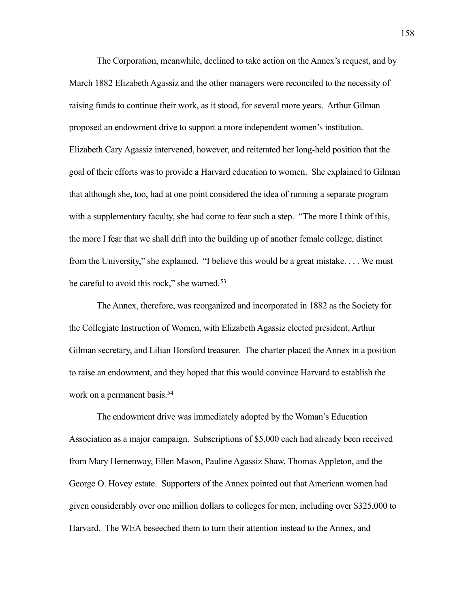The Corporation, meanwhile, declined to take action on the Annex's request, and by March 1882 Elizabeth Agassiz and the other managers were reconciled to the necessity of raising funds to continue their work, as it stood, for several more years. Arthur Gilman proposed an endowment drive to support a more independent women's institution. Elizabeth Cary Agassiz intervened, however, and reiterated her long-held position that the goal of their efforts was to provide a Harvard education to women. She explained to Gilman that although she, too, had at one point considered the idea of running a separate program with a supplementary faculty, she had come to fear such a step. "The more I think of this, the more I fear that we shall drift into the building up of another female college, distinct from the University," she explained. "I believe this would be a great mistake. . . . We must be careful to avoid this rock," she warned.<sup>[53](#page-51-1)</sup>

The Annex, therefore, was reorganized and incorporated in 1882 as the Society for the Collegiate Instruction of Women, with Elizabeth Agassiz elected president, Arthur Gilman secretary, and Lilian Horsford treasurer. The charter placed the Annex in a position to raise an endowment, and they hoped that this would convince Harvard to establish the work on a permanent basis.<sup>[54](#page-51-2)</sup>

The endowment drive was immediately adopted by the Woman's Education Association as a major campaign. Subscriptions of \$5,000 each had already been received from Mary Hemenway, Ellen Mason, Pauline Agassiz Shaw, Thomas Appleton, and the George O. Hovey estate. Supporters of the Annex pointed out that American women had given considerably over one million dollars to colleges for men, including over \$325,000 to Harvard. The WEA beseeched them to turn their attention instead to the Annex, and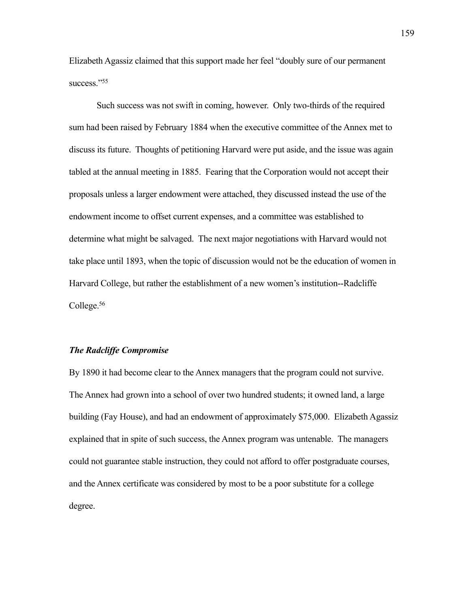Elizabeth Agassiz claimed that this support made her feel "doubly sure of our permanent success."<sup>55</sup>

Such success was not swift in coming, however. Only two-thirds of the required sum had been raised by February 1884 when the executive committee of the Annex met to discuss its future. Thoughts of petitioning Harvard were put aside, and the issue was again tabled at the annual meeting in 1885. Fearing that the Corporation would not accept their proposals unless a larger endowment were attached, they discussed instead the use of the endowment income to offset current expenses, and a committee was established to determine what might be salvaged. The next major negotiations with Harvard would not take place until 1893, when the topic of discussion would not be the education of women in Harvard College, but rather the establishment of a new women's institution--Radcliffe College[.56](#page-51-4)

#### *The Radcliffe Compromise*

By 1890 it had become clear to the Annex managers that the program could not survive. The Annex had grown into a school of over two hundred students; it owned land, a large building (Fay House), and had an endowment of approximately \$75,000. Elizabeth Agassiz explained that in spite of such success, the Annex program was untenable. The managers could not guarantee stable instruction, they could not afford to offer postgraduate courses, and the Annex certificate was considered by most to be a poor substitute for a college degree.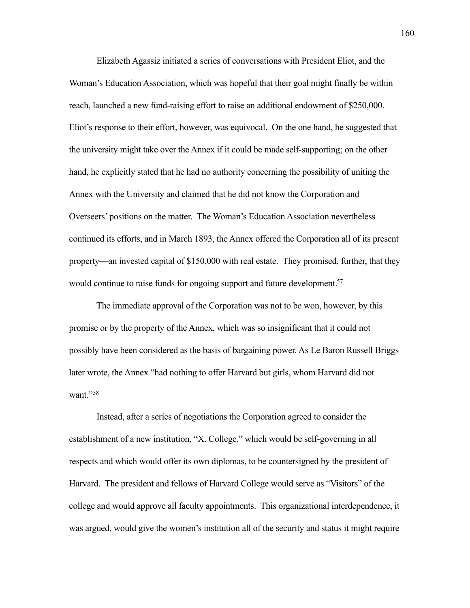Elizabeth Agassiz initiated a series of conversations with President Eliot, and the Woman's Education Association, which was hopeful that their goal might finally be within reach, launched a new fund-raising effort to raise an additional endowment of \$250,000. Eliot's response to their effort, however, was equivocal. On the one hand, he suggested that the university might take over the Annex if it could be made self-supporting; on the other hand, he explicitly stated that he had no authority concerning the possibility of uniting the Annex with the University and claimed that he did not know the Corporation and Overseers' positions on the matter. The Woman's Education Association nevertheless continued its efforts, and in March 1893, the Annex offered the Corporation all of its present property—an invested capital of \$150,000 with real estate. They promised, further, that they would continue to raise funds for ongoing support and future development.<sup>57</sup>

 The immediate approval of the Corporation was not to be won, however, by this promise or by the property of the Annex, which was so insignificant that it could not possibly have been considered as the basis of bargaining power. As Le Baron Russell Briggs later wrote, the Annex "had nothing to offer Harvard but girls, whom Harvard did not want."[58](#page-52-1)

 Instead, after a series of negotiations the Corporation agreed to consider the establishment of a new institution, "X. College," which would be self-governing in all respects and which would offer its own diplomas, to be countersigned by the president of Harvard. The president and fellows of Harvard College would serve as "Visitors" of the college and would approve all faculty appointments. This organizational interdependence, it was argued, would give the women's institution all of the security and status it might require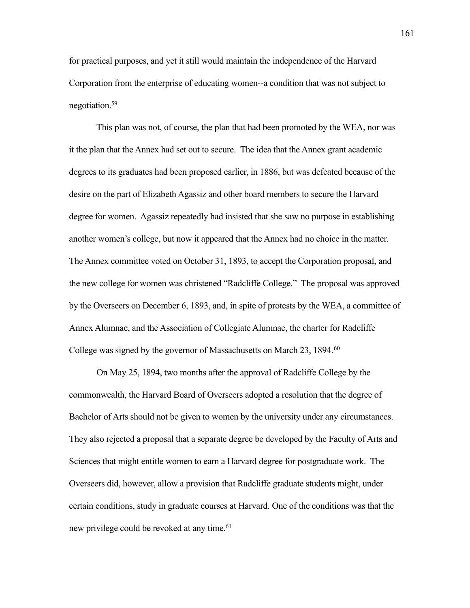for practical purposes, and yet it still would maintain the independence of the Harvard Corporation from the enterprise of educating women--a condition that was not subject to negotiation[.59](#page-52-2)

 This plan was not, of course, the plan that had been promoted by the WEA, nor was it the plan that the Annex had set out to secure. The idea that the Annex grant academic degrees to its graduates had been proposed earlier, in 1886, but was defeated because of the desire on the part of Elizabeth Agassiz and other board members to secure the Harvard degree for women. Agassiz repeatedly had insisted that she saw no purpose in establishing another women's college, but now it appeared that the Annex had no choice in the matter. The Annex committee voted on October 31, 1893, to accept the Corporation proposal, and the new college for women was christened "Radcliffe College." The proposal was approved by the Overseers on December 6, 1893, and, in spite of protests by the WEA, a committee of Annex Alumnae, and the Association of Collegiate Alumnae, the charter for Radcliffe College was signed by the governor of Massachusetts on March 23, 1894.<sup>[60](#page-52-3)</sup>

 On May 25, 1894, two months after the approval of Radcliffe College by the commonwealth, the Harvard Board of Overseers adopted a resolution that the degree of Bachelor of Arts should not be given to women by the university under any circumstances. They also rejected a proposal that a separate degree be developed by the Faculty of Arts and Sciences that might entitle women to earn a Harvard degree for postgraduate work. The Overseers did, however, allow a provision that Radcliffe graduate students might, under certain conditions, study in graduate courses at Harvard. One of the conditions was that the new privilege could be revoked at any time.<sup>61</sup>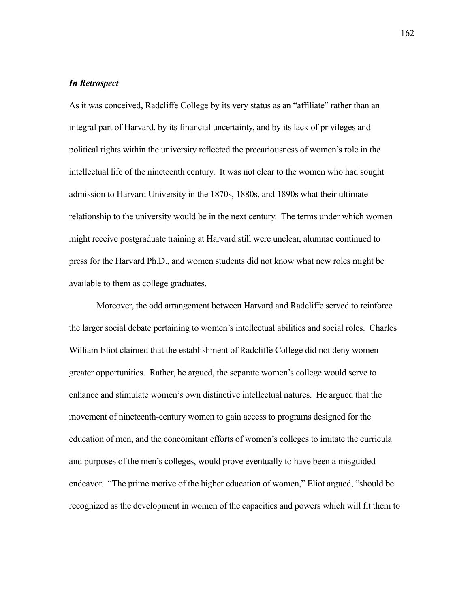#### *In Retrospect*

As it was conceived, Radcliffe College by its very status as an "affiliate" rather than an integral part of Harvard, by its financial uncertainty, and by its lack of privileges and political rights within the university reflected the precariousness of women's role in the intellectual life of the nineteenth century. It was not clear to the women who had sought admission to Harvard University in the 1870s, 1880s, and 1890s what their ultimate relationship to the university would be in the next century. The terms under which women might receive postgraduate training at Harvard still were unclear, alumnae continued to press for the Harvard Ph.D., and women students did not know what new roles might be available to them as college graduates.

 Moreover, the odd arrangement between Harvard and Radcliffe served to reinforce the larger social debate pertaining to women's intellectual abilities and social roles. Charles William Eliot claimed that the establishment of Radcliffe College did not deny women greater opportunities. Rather, he argued, the separate women's college would serve to enhance and stimulate women's own distinctive intellectual natures. He argued that the movement of nineteenth-century women to gain access to programs designed for the education of men, and the concomitant efforts of women's colleges to imitate the curricula and purposes of the men's colleges, would prove eventually to have been a misguided endeavor. "The prime motive of the higher education of women," Eliot argued, "should be recognized as the development in women of the capacities and powers which will fit them to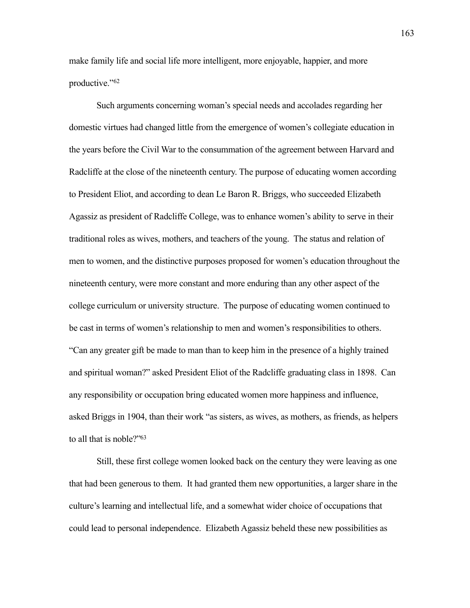make family life and social life more intelligent, more enjoyable, happier, and more productive.["62](#page-52-5)

 Such arguments concerning woman's special needs and accolades regarding her domestic virtues had changed little from the emergence of women's collegiate education in the years before the Civil War to the consummation of the agreement between Harvard and Radcliffe at the close of the nineteenth century. The purpose of educating women according to President Eliot, and according to dean Le Baron R. Briggs, who succeeded Elizabeth Agassiz as president of Radcliffe College, was to enhance women's ability to serve in their traditional roles as wives, mothers, and teachers of the young. The status and relation of men to women, and the distinctive purposes proposed for women's education throughout the nineteenth century, were more constant and more enduring than any other aspect of the college curriculum or university structure. The purpose of educating women continued to be cast in terms of women's relationship to men and women's responsibilities to others. "Can any greater gift be made to man than to keep him in the presence of a highly trained and spiritual woman?" asked President Eliot of the Radcliffe graduating class in 1898. Can any responsibility or occupation bring educated women more happiness and influence, asked Briggs in 1904, than their work "as sisters, as wives, as mothers, as friends, as helpers to all that is noble?["63](#page-53-0)

Still, these first college women looked back on the century they were leaving as one that had been generous to them. It had granted them new opportunities, a larger share in the culture's learning and intellectual life, and a somewhat wider choice of occupations that could lead to personal independence. Elizabeth Agassiz beheld these new possibilities as

163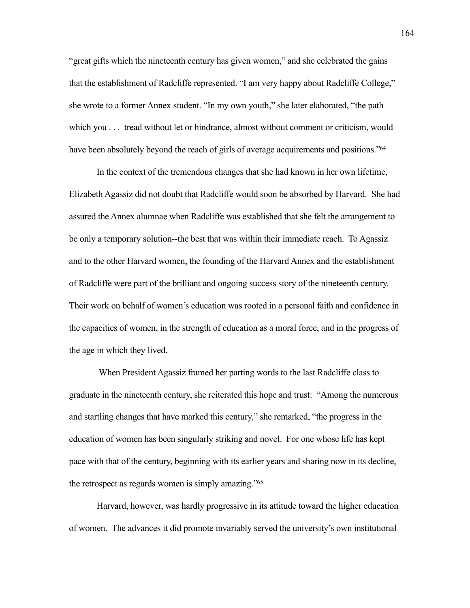"great gifts which the nineteenth century has given women," and she celebrated the gains that the establishment of Radcliffe represented. "I am very happy about Radcliffe College," she wrote to a former Annex student. "In my own youth," she later elaborated, "the path which you . . . tread without let or hindrance, almost without comment or criticism, would have been absolutely beyond the reach of girls of average acquirements and positions.<sup>764</sup>

In the context of the tremendous changes that she had known in her own lifetime, Elizabeth Agassiz did not doubt that Radcliffe would soon be absorbed by Harvard. She had assured the Annex alumnae when Radcliffe was established that she felt the arrangement to be only a temporary solution--the best that was within their immediate reach. To Agassiz and to the other Harvard women, the founding of the Harvard Annex and the establishment of Radcliffe were part of the brilliant and ongoing success story of the nineteenth century. Their work on behalf of women's education was rooted in a personal faith and confidence in the capacities of women, in the strength of education as a moral force, and in the progress of the age in which they lived.

 When President Agassiz framed her parting words to the last Radcliffe class to graduate in the nineteenth century, she reiterated this hope and trust: "Among the numerous and startling changes that have marked this century," she remarked, "the progress in the education of women has been singularly striking and novel. For one whose life has kept pace with that of the century, beginning with its earlier years and sharing now in its decline, the retrospect as regards women is simply amazing.["65](#page-53-2)

Harvard, however, was hardly progressive in its attitude toward the higher education of women. The advances it did promote invariably served the university's own institutional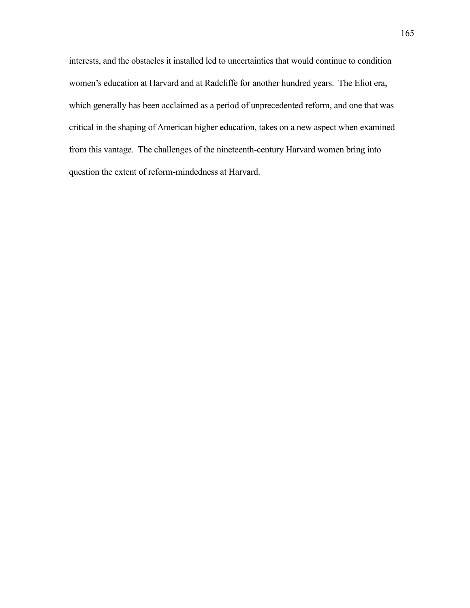interests, and the obstacles it installed led to uncertainties that would continue to condition women's education at Harvard and at Radcliffe for another hundred years. The Eliot era, which generally has been acclaimed as a period of unprecedented reform, and one that was critical in the shaping of American higher education, takes on a new aspect when examined from this vantage. The challenges of the nineteenth-century Harvard women bring into question the extent of reform-mindedness at Harvard.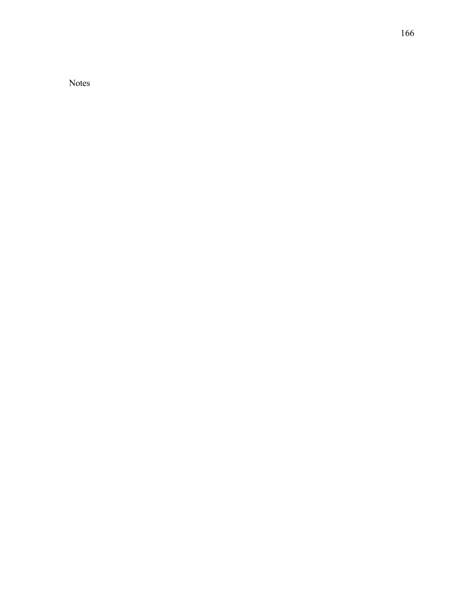Notes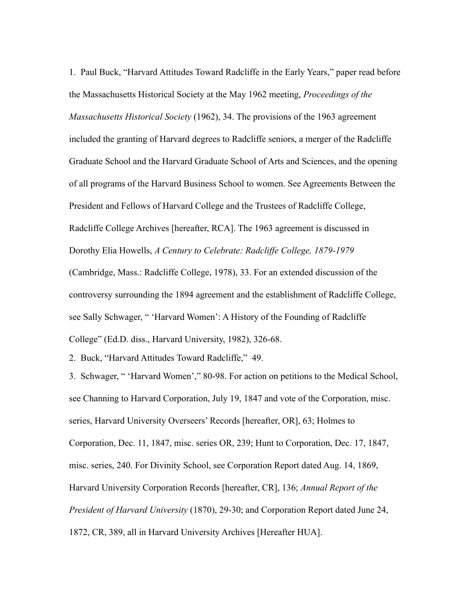<span id="page-34-0"></span>1. Paul Buck, "Harvard Attitudes Toward Radcliffe in the Early Years," paper read before the Massachusetts Historical Society at the May 1962 meeting, *Proceedings of the Massachusetts Historical Society* (1962), 34. The provisions of the 1963 agreement included the granting of Harvard degrees to Radcliffe seniors, a merger of the Radcliffe Graduate School and the Harvard Graduate School of Arts and Sciences, and the opening of all programs of the Harvard Business School to women. See Agreements Between the President and Fellows of Harvard College and the Trustees of Radcliffe College, Radcliffe College Archives [hereafter, RCA]. The 1963 agreement is discussed in Dorothy Elia Howells, *A Century to Celebrate: Radcliffe College, 1879-1979* (Cambridge, Mass.: Radcliffe College, 1978), 33. For an extended discussion of the controversy surrounding the 1894 agreement and the establishment of Radcliffe College, see Sally Schwager, " 'Harvard Women': A History of the Founding of Radcliffe College" (Ed.D. diss., Harvard University, 1982), 326-68.

<span id="page-34-1"></span>2. Buck, "Harvard Attitudes Toward Radcliffe," 49.

<span id="page-34-2"></span>3. Schwager, " 'Harvard Women'," 80-98. For action on petitions to the Medical School, see Channing to Harvard Corporation, July 19, 1847 and vote of the Corporation, misc. series, Harvard University Overseers' Records [hereafter, OR], 63; Holmes to Corporation, Dec. 11, 1847, misc. series OR, 239; Hunt to Corporation, Dec. 17, 1847, misc. series, 240. For Divinity School, see Corporation Report dated Aug. 14, 1869, Harvard University Corporation Records [hereafter, CR], 136; *Annual Report of the President of Harvard University* (1870), 29-30; and Corporation Report dated June 24, 1872, CR, 389, all in Harvard University Archives [Hereafter HUA].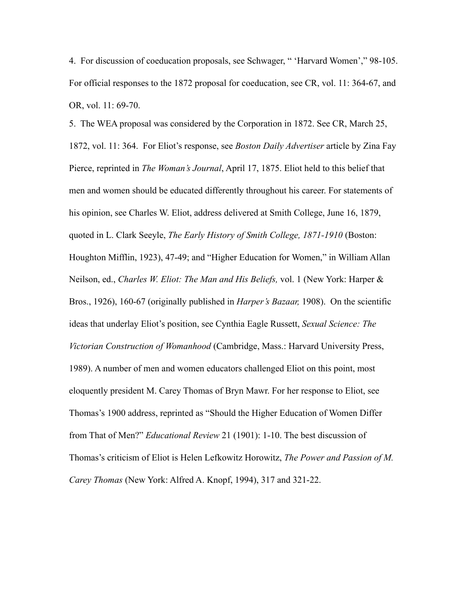<span id="page-35-0"></span>4. For discussion of coeducation proposals, see Schwager, " 'Harvard Women'," 98-105. For official responses to the 1872 proposal for coeducation, see CR, vol. 11: 364-67, and OR, vol. 11: 69-70.

<span id="page-35-1"></span>5. The WEA proposal was considered by the Corporation in 1872. See CR, March 25, 1872, vol. 11: 364. For Eliot's response, see *Boston Daily Advertiser* article by Zina Fay Pierce, reprinted in *The Woman's Journal*, April 17, 1875. Eliot held to this belief that men and women should be educated differently throughout his career. For statements of his opinion, see Charles W. Eliot, address delivered at Smith College, June 16, 1879, quoted in L. Clark Seeyle, *The Early History of Smith College, 1871-1910* (Boston: Houghton Mifflin, 1923), 47-49; and "Higher Education for Women," in William Allan Neilson, ed., *Charles W. Eliot: The Man and His Beliefs,* vol. 1 (New York: Harper & Bros., 1926), 160-67 (originally published in *Harper's Bazaar,* 1908). On the scientific ideas that underlay Eliot's position, see Cynthia Eagle Russett, *Sexual Science: The Victorian Construction of Womanhood* (Cambridge, Mass.: Harvard University Press, 1989). A number of men and women educators challenged Eliot on this point, most eloquently president M. Carey Thomas of Bryn Mawr. For her response to Eliot, see Thomas's 1900 address, reprinted as "Should the Higher Education of Women Differ from That of Men?" *Educational Review* 21 (1901): 1-10. The best discussion of Thomas's criticism of Eliot is Helen Lefkowitz Horowitz, *The Power and Passion of M. Carey Thomas* (New York: Alfred A. Knopf, 1994), 317 and 321-22.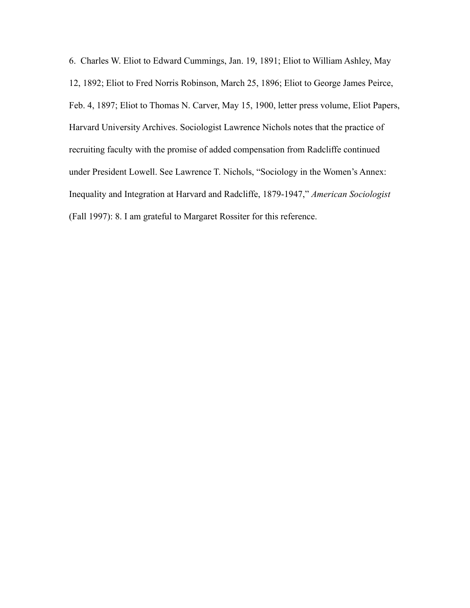<span id="page-36-0"></span>6. Charles W. Eliot to Edward Cummings, Jan. 19, 1891; Eliot to William Ashley, May 12, 1892; Eliot to Fred Norris Robinson, March 25, 1896; Eliot to George James Peirce, Feb. 4, 1897; Eliot to Thomas N. Carver, May 15, 1900, letter press volume, Eliot Papers, Harvard University Archives. Sociologist Lawrence Nichols notes that the practice of recruiting faculty with the promise of added compensation from Radcliffe continued under President Lowell. See Lawrence T. Nichols, "Sociology in the Women's Annex: Inequality and Integration at Harvard and Radcliffe, 1879-1947," *American Sociologist* (Fall 1997): 8. I am grateful to Margaret Rossiter for this reference.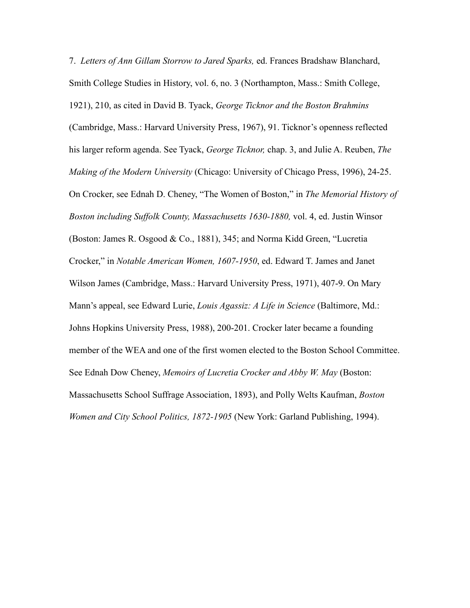<span id="page-37-0"></span>7. *Letters of Ann Gillam Storrow to Jared Sparks,* ed. Frances Bradshaw Blanchard, Smith College Studies in History, vol. 6, no. 3 (Northampton, Mass.: Smith College, 1921), 210, as cited in David B. Tyack, *George Ticknor and the Boston Brahmins*  (Cambridge, Mass.: Harvard University Press, 1967), 91. Ticknor's openness reflected his larger reform agenda. See Tyack, *George Ticknor,* chap. 3, and Julie A. Reuben, *The Making of the Modern University* (Chicago: University of Chicago Press, 1996), 24-25. On Crocker, see Ednah D. Cheney, "The Women of Boston," in *The Memorial History of Boston including Suffolk County, Massachusetts 1630-1880,* vol. 4, ed. Justin Winsor (Boston: James R. Osgood & Co., 1881), 345; and Norma Kidd Green, "Lucretia Crocker," in *Notable American Women, 1607-1950*, ed. Edward T. James and Janet Wilson James (Cambridge, Mass.: Harvard University Press, 1971), 407-9. On Mary Mann's appeal, see Edward Lurie, *Louis Agassiz: A Life in Science* (Baltimore, Md.: Johns Hopkins University Press, 1988), 200-201. Crocker later became a founding member of the WEA and one of the first women elected to the Boston School Committee. See Ednah Dow Cheney, *Memoirs of Lucretia Crocker and Abby W. May* (Boston: Massachusetts School Suffrage Association, 1893), and Polly Welts Kaufman, *Boston Women and City School Politics, 1872-1905* (New York: Garland Publishing, 1994).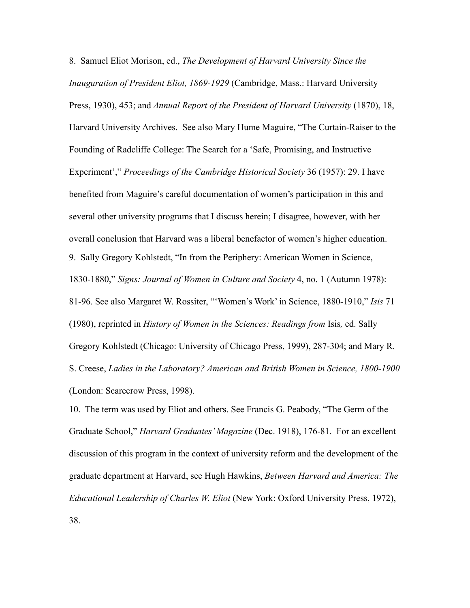<span id="page-38-0"></span>8. Samuel Eliot Morison, ed., *The Development of Harvard University Since the Inauguration of President Eliot, 1869-1929* (Cambridge, Mass.: Harvard University Press, 1930), 453; and *Annual Report of the President of Harvard University* (1870), 18, Harvard University Archives. See also Mary Hume Maguire, "The Curtain-Raiser to the Founding of Radcliffe College: The Search for a 'Safe, Promising, and Instructive Experiment'," *Proceedings of the Cambridge Historical Society* 36 (1957): 29. I have benefited from Maguire's careful documentation of women's participation in this and several other university programs that I discuss herein; I disagree, however, with her overall conclusion that Harvard was a liberal benefactor of women's higher education. 9. Sally Gregory Kohlstedt, "In from the Periphery: American Women in Science, 1830-1880," *Signs: Journal of Women in Culture and Society* 4, no. 1 (Autumn 1978): 81-96. See also Margaret W. Rossiter, "'Women's Work' in Science, 1880-1910," *Isis* 71 (1980), reprinted in *History of Women in the Sciences: Readings from* Isis*,* ed. Sally Gregory Kohlstedt (Chicago: University of Chicago Press, 1999), 287-304; and Mary R. S. Creese, *Ladies in the Laboratory? American and British Women in Science, 1800-1900* (London: Scarecrow Press, 1998).

<span id="page-38-2"></span><span id="page-38-1"></span>10. The term was used by Eliot and others. See Francis G. Peabody, "The Germ of the Graduate School," *Harvard Graduates' Magazine* (Dec. 1918), 176-81. For an excellent discussion of this program in the context of university reform and the development of the graduate department at Harvard, see Hugh Hawkins, *Between Harvard and America: The Educational Leadership of Charles W. Eliot* (New York: Oxford University Press, 1972), 38.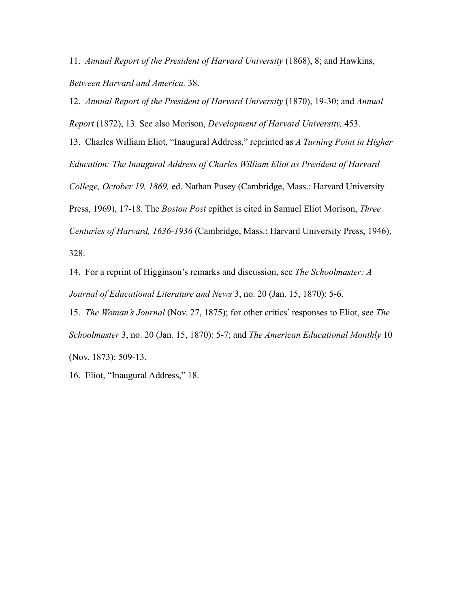<span id="page-39-0"></span>11. *Annual Report of the President of Harvard University* (1868), 8; and Hawkins, *Between Harvard and America,* 38.

<span id="page-39-1"></span>12. *Annual Report of the President of Harvard University* (1870), 19-30; and *Annual* 

*Report* (1872), 13. See also Morison, *Development of Harvard University,* 453.

<span id="page-39-2"></span>13. Charles William Eliot, "Inaugural Address," reprinted as *A Turning Point in Higher Education: The Inaugural Address of Charles William Eliot as President of Harvard* 

*College, October 19, 1869,* ed. Nathan Pusey (Cambridge, Mass.: Harvard University

Press, 1969), 17-18. The *Boston Post* epithet is cited in Samuel Eliot Morison, *Three* 

*Centuries of Harvard, 1636-1936* (Cambridge, Mass.: Harvard University Press, 1946), 328.

<span id="page-39-3"></span>14. For a reprint of Higginson's remarks and discussion, see *The Schoolmaster: A Journal of Educational Literature and News* 3, no. 20 (Jan. 15, 1870): 5-6.

<span id="page-39-4"></span>15. *The Woman's Journal* (Nov. 27, 1875); for other critics' responses to Eliot, see *The Schoolmaster* 3, no. 20 (Jan. 15, 1870): 5-7; and *The American Educational Monthly* 10 (Nov. 1873): 509-13.

<span id="page-39-5"></span>16. Eliot, "Inaugural Address," 18.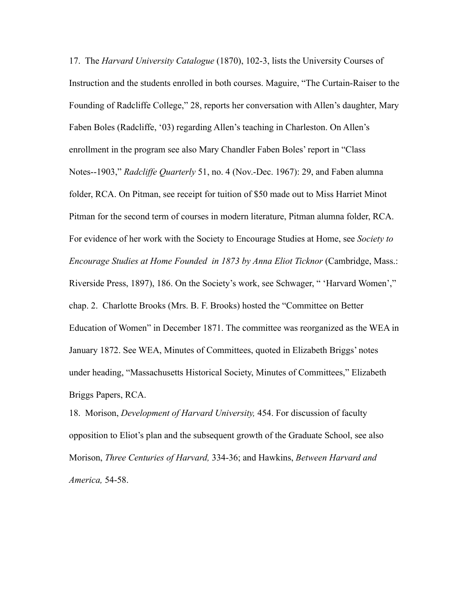<span id="page-40-0"></span>17. The *Harvard University Catalogue* (1870), 102-3, lists the University Courses of Instruction and the students enrolled in both courses. Maguire, "The Curtain-Raiser to the Founding of Radcliffe College," 28, reports her conversation with Allen's daughter, Mary Faben Boles (Radcliffe, '03) regarding Allen's teaching in Charleston. On Allen's enrollment in the program see also Mary Chandler Faben Boles' report in "Class Notes--1903," *Radcliffe Quarterly* 51, no. 4 (Nov.-Dec. 1967): 29, and Faben alumna folder, RCA. On Pitman, see receipt for tuition of \$50 made out to Miss Harriet Minot Pitman for the second term of courses in modern literature, Pitman alumna folder, RCA. For evidence of her work with the Society to Encourage Studies at Home, see *Society to Encourage Studies at Home Founded in 1873 by Anna Eliot Ticknor (Cambridge, Mass.:* Riverside Press, 1897), 186. On the Society's work, see Schwager, " 'Harvard Women'," chap. 2. Charlotte Brooks (Mrs. B. F. Brooks) hosted the "Committee on Better Education of Women" in December 1871. The committee was reorganized as the WEA in January 1872. See WEA, Minutes of Committees, quoted in Elizabeth Briggs' notes under heading, "Massachusetts Historical Society, Minutes of Committees," Elizabeth Briggs Papers, RCA.

<span id="page-40-1"></span>18. Morison, *Development of Harvard University,* 454. For discussion of faculty opposition to Eliot's plan and the subsequent growth of the Graduate School, see also Morison, *Three Centuries of Harvard,* 334-36; and Hawkins, *Between Harvard and America,* 54-58.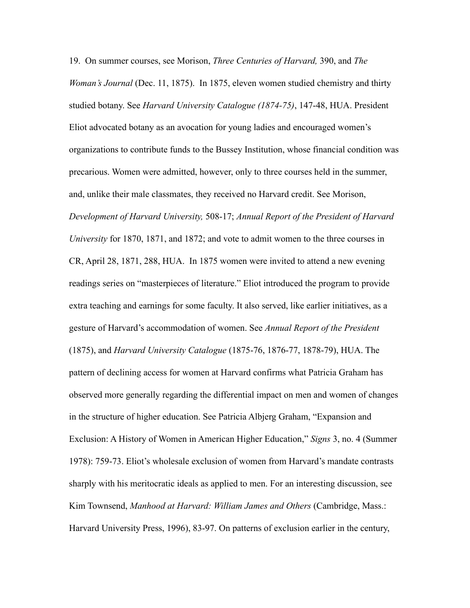<span id="page-41-0"></span>19. On summer courses, see Morison, *Three Centuries of Harvard,* 390, and *The Woman's Journal* (Dec. 11, 1875). In 1875, eleven women studied chemistry and thirty studied botany. See *Harvard University Catalogue (1874-75)*, 147-48, HUA. President Eliot advocated botany as an avocation for young ladies and encouraged women's organizations to contribute funds to the Bussey Institution, whose financial condition was precarious. Women were admitted, however, only to three courses held in the summer, and, unlike their male classmates, they received no Harvard credit. See Morison, *Development of Harvard University,* 508-17; *Annual Report of the President of Harvard University* for 1870, 1871, and 1872; and vote to admit women to the three courses in CR, April 28, 1871, 288, HUA. In 1875 women were invited to attend a new evening readings series on "masterpieces of literature." Eliot introduced the program to provide extra teaching and earnings for some faculty. It also served, like earlier initiatives, as a gesture of Harvard's accommodation of women. See *Annual Report of the President* (1875), and *Harvard University Catalogue* (1875-76, 1876-77, 1878-79), HUA. The pattern of declining access for women at Harvard confirms what Patricia Graham has observed more generally regarding the differential impact on men and women of changes in the structure of higher education. See Patricia Albjerg Graham, "Expansion and Exclusion: A History of Women in American Higher Education," *Signs* 3, no. 4 (Summer 1978): 759-73. Eliot's wholesale exclusion of women from Harvard's mandate contrasts sharply with his meritocratic ideals as applied to men. For an interesting discussion, see Kim Townsend, *Manhood at Harvard: William James and Others* (Cambridge, Mass.: Harvard University Press, 1996), 83-97. On patterns of exclusion earlier in the century,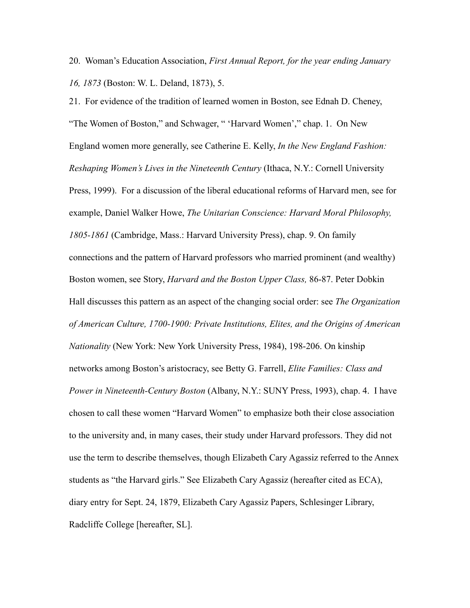<span id="page-42-0"></span>20. Woman's Education Association, *First Annual Report, for the year ending January 16, 1873* (Boston: W. L. Deland, 1873), 5.

<span id="page-42-1"></span>21. For evidence of the tradition of learned women in Boston, see Ednah D. Cheney, "The Women of Boston," and Schwager, " 'Harvard Women'," chap. 1. On New England women more generally, see Catherine E. Kelly, *In the New England Fashion: Reshaping Women's Lives in the Nineteenth Century* (Ithaca, N.Y.: Cornell University Press, 1999). For a discussion of the liberal educational reforms of Harvard men, see for example, Daniel Walker Howe, *The Unitarian Conscience: Harvard Moral Philosophy, 1805-1861* (Cambridge, Mass.: Harvard University Press), chap. 9. On family connections and the pattern of Harvard professors who married prominent (and wealthy) Boston women, see Story, *Harvard and the Boston Upper Class,* 86-87. Peter Dobkin Hall discusses this pattern as an aspect of the changing social order: see *The Organization of American Culture, 1700-1900: Private Institutions, Elites, and the Origins of American Nationality* (New York: New York University Press, 1984), 198-206. On kinship networks among Boston's aristocracy, see Betty G. Farrell, *Elite Families: Class and Power in Nineteenth-Century Boston* (Albany, N.Y.: SUNY Press, 1993), chap. 4. I have chosen to call these women "Harvard Women" to emphasize both their close association to the university and, in many cases, their study under Harvard professors. They did not use the term to describe themselves, though Elizabeth Cary Agassiz referred to the Annex students as "the Harvard girls." See Elizabeth Cary Agassiz (hereafter cited as ECA), diary entry for Sept. 24, 1879, Elizabeth Cary Agassiz Papers, Schlesinger Library, Radcliffe College [hereafter, SL].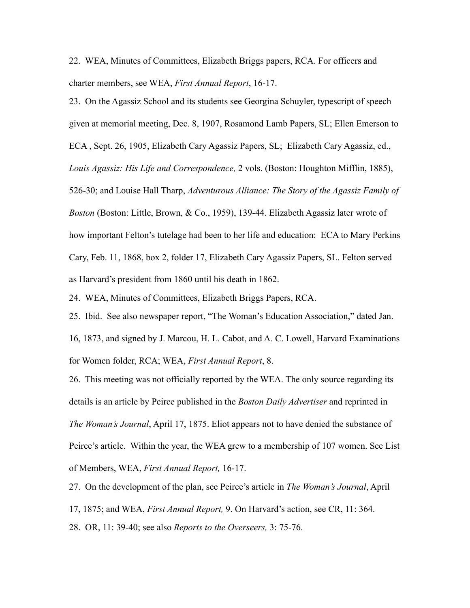<span id="page-43-0"></span>22. WEA, Minutes of Committees, Elizabeth Briggs papers, RCA. For officers and charter members, see WEA, *First Annual Report*, 16-17.

<span id="page-43-1"></span>23. On the Agassiz School and its students see Georgina Schuyler, typescript of speech given at memorial meeting, Dec. 8, 1907, Rosamond Lamb Papers, SL; Ellen Emerson to ECA , Sept. 26, 1905, Elizabeth Cary Agassiz Papers, SL; Elizabeth Cary Agassiz, ed., *Louis Agassiz: His Life and Correspondence,* 2 vols. (Boston: Houghton Mifflin, 1885), 526-30; and Louise Hall Tharp, *Adventurous Alliance: The Story of the Agassiz Family of Boston* (Boston: Little, Brown, & Co., 1959), 139-44. Elizabeth Agassiz later wrote of how important Felton's tutelage had been to her life and education: ECA to Mary Perkins Cary, Feb. 11, 1868, box 2, folder 17, Elizabeth Cary Agassiz Papers, SL. Felton served as Harvard's president from 1860 until his death in 1862.

<span id="page-43-2"></span>24. WEA, Minutes of Committees, Elizabeth Briggs Papers, RCA.

<span id="page-43-3"></span>25. Ibid. See also newspaper report, "The Woman's Education Association," dated Jan.

16, 1873, and signed by J. Marcou, H. L. Cabot, and A. C. Lowell, Harvard Examinations for Women folder, RCA; WEA, *First Annual Report*, 8.

<span id="page-43-4"></span>26. This meeting was not officially reported by the WEA. The only source regarding its details is an article by Peirce published in the *Boston Daily Advertiser* and reprinted in *The Woman's Journal*, April 17, 1875. Eliot appears not to have denied the substance of Peirce's article. Within the year, the WEA grew to a membership of 107 women. See List of Members, WEA, *First Annual Report,* 16-17.

<span id="page-43-5"></span>27. On the development of the plan, see Peirce's article in *The Woman's Journal*, April 17, 1875; and WEA, *First Annual Report,* 9. On Harvard's action, see CR, 11: 364.

<span id="page-43-6"></span>28. OR, 11: 39-40; see also *Reports to the Overseers,* 3: 75-76.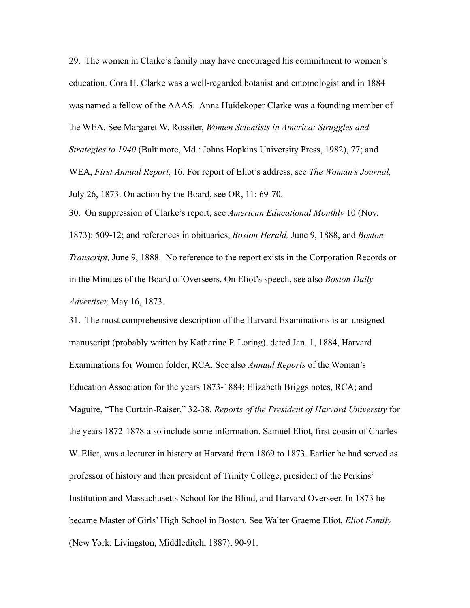<span id="page-44-0"></span>29. The women in Clarke's family may have encouraged his commitment to women's education. Cora H. Clarke was a well-regarded botanist and entomologist and in 1884 was named a fellow of the AAAS. Anna Huidekoper Clarke was a founding member of the WEA. See Margaret W. Rossiter, *Women Scientists in America: Struggles and Strategies to 1940* (Baltimore, Md.: Johns Hopkins University Press, 1982), 77; and WEA, *First Annual Report,* 16. For report of Eliot's address, see *The Woman's Journal,* July 26, 1873. On action by the Board, see OR, 11: 69-70.

<span id="page-44-1"></span>30. On suppression of Clarke's report, see *American Educational Monthly* 10 (Nov. 1873): 509-12; and references in obituaries, *Boston Herald,* June 9, 1888, and *Boston Transcript,* June 9, 1888. No reference to the report exists in the Corporation Records or in the Minutes of the Board of Overseers. On Eliot's speech, see also *Boston Daily Advertiser,* May 16, 1873.

<span id="page-44-2"></span>31. The most comprehensive description of the Harvard Examinations is an unsigned manuscript (probably written by Katharine P. Loring), dated Jan. 1, 1884, Harvard Examinations for Women folder, RCA. See also *Annual Reports* of the Woman's Education Association for the years 1873-1884; Elizabeth Briggs notes, RCA; and Maguire, "The Curtain-Raiser," 32-38. *Reports of the President of Harvard University* for the years 1872-1878 also include some information. Samuel Eliot, first cousin of Charles W. Eliot, was a lecturer in history at Harvard from 1869 to 1873. Earlier he had served as professor of history and then president of Trinity College, president of the Perkins' Institution and Massachusetts School for the Blind, and Harvard Overseer. In 1873 he became Master of Girls' High School in Boston. See Walter Graeme Eliot, *Eliot Family*  (New York: Livingston, Middleditch, 1887), 90-91.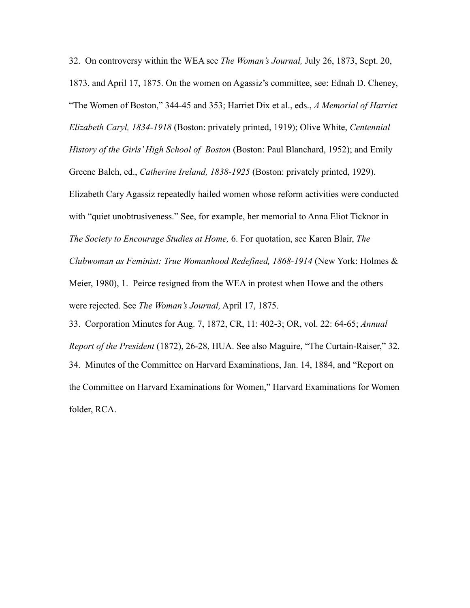<span id="page-45-0"></span>32. On controversy within the WEA see *The Woman's Journal,* July 26, 1873, Sept. 20, 1873, and April 17, 1875. On the women on Agassiz's committee, see: Ednah D. Cheney, "The Women of Boston," 344-45 and 353; Harriet Dix et al., eds., *A Memorial of Harriet Elizabeth Caryl, 1834-1918* (Boston: privately printed, 1919); Olive White, *Centennial History of the Girls' High School of Boston* (Boston: Paul Blanchard, 1952); and Emily Greene Balch, ed., *Catherine Ireland, 1838-1925* (Boston: privately printed, 1929). Elizabeth Cary Agassiz repeatedly hailed women whose reform activities were conducted with "quiet unobtrusiveness." See, for example, her memorial to Anna Eliot Ticknor in *The Society to Encourage Studies at Home,* 6. For quotation, see Karen Blair, *The Clubwoman as Feminist: True Womanhood Redefined, 1868-1914* (New York: Holmes & Meier, 1980), 1. Peirce resigned from the WEA in protest when Howe and the others were rejected. See *The Woman's Journal,* April 17, 1875. 33. Corporation Minutes for Aug. 7, 1872, CR, 11: 402-3; OR, vol. 22: 64-65; *Annual* 

<span id="page-45-2"></span><span id="page-45-1"></span>*Report of the President* (1872), 26-28, HUA. See also Maguire, "The Curtain-Raiser," 32. 34. Minutes of the Committee on Harvard Examinations, Jan. 14, 1884, and "Report on the Committee on Harvard Examinations for Women," Harvard Examinations for Women folder, RCA.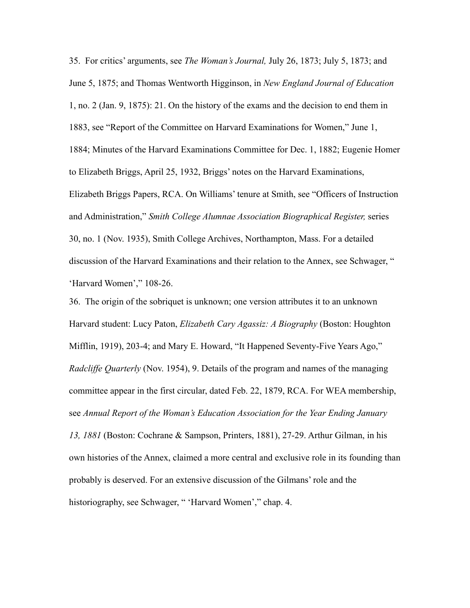<span id="page-46-0"></span>35. For critics' arguments, see *The Woman's Journal,* July 26, 1873; July 5, 1873; and June 5, 1875; and Thomas Wentworth Higginson, in *New England Journal of Education* 1, no. 2 (Jan. 9, 1875): 21. On the history of the exams and the decision to end them in 1883, see "Report of the Committee on Harvard Examinations for Women," June 1, 1884; Minutes of the Harvard Examinations Committee for Dec. 1, 1882; Eugenie Homer to Elizabeth Briggs, April 25, 1932, Briggs' notes on the Harvard Examinations, Elizabeth Briggs Papers, RCA. On Williams' tenure at Smith, see "Officers of Instruction and Administration," *Smith College Alumnae Association Biographical Register,* series 30, no. 1 (Nov. 1935), Smith College Archives, Northampton, Mass. For a detailed discussion of the Harvard Examinations and their relation to the Annex, see Schwager, " 'Harvard Women'," 108-26.

<span id="page-46-1"></span>36. The origin of the sobriquet is unknown; one version attributes it to an unknown Harvard student: Lucy Paton, *Elizabeth Cary Agassiz: A Biography* (Boston: Houghton Mifflin, 1919), 203-4; and Mary E. Howard, "It Happened Seventy-Five Years Ago," *Radcliffe Quarterly* (Nov. 1954), 9. Details of the program and names of the managing committee appear in the first circular, dated Feb. 22, 1879, RCA. For WEA membership, see *Annual Report of the Woman's Education Association for the Year Ending January 13, 1881* (Boston: Cochrane & Sampson, Printers, 1881), 27-29. Arthur Gilman, in his own histories of the Annex, claimed a more central and exclusive role in its founding than probably is deserved. For an extensive discussion of the Gilmans' role and the historiography, see Schwager, " 'Harvard Women'," chap. 4.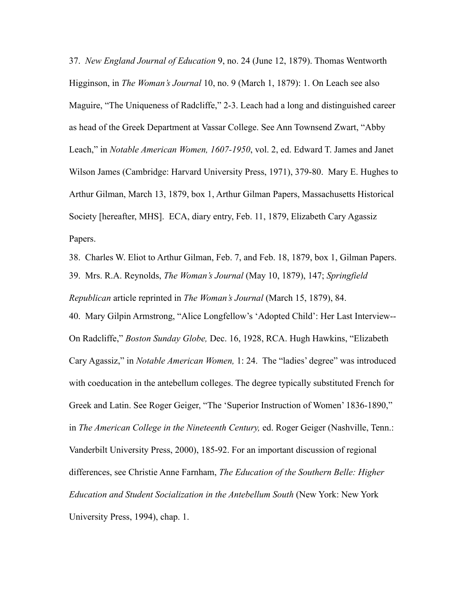<span id="page-47-0"></span>37. *New England Journal of Education* 9, no. 24 (June 12, 1879). Thomas Wentworth Higginson, in *The Woman's Journal* 10, no. 9 (March 1, 1879): 1. On Leach see also Maguire, "The Uniqueness of Radcliffe," 2-3. Leach had a long and distinguished career as head of the Greek Department at Vassar College. See Ann Townsend Zwart, "Abby Leach," in *Notable American Women, 1607-1950*, vol. 2, ed. Edward T. James and Janet Wilson James (Cambridge: Harvard University Press, 1971), 379-80. Mary E. Hughes to Arthur Gilman, March 13, 1879, box 1, Arthur Gilman Papers, Massachusetts Historical Society [hereafter, MHS]. ECA, diary entry, Feb. 11, 1879, Elizabeth Cary Agassiz Papers.

<span id="page-47-3"></span><span id="page-47-2"></span><span id="page-47-1"></span>38. Charles W. Eliot to Arthur Gilman, Feb. 7, and Feb. 18, 1879, box 1, Gilman Papers. 39. Mrs. R.A. Reynolds, *The Woman's Journal* (May 10, 1879), 147; *Springfield Republican* article reprinted in *The Woman's Journal* (March 15, 1879), 84. 40. Mary Gilpin Armstrong, "Alice Longfellow's 'Adopted Child': Her Last Interview-- On Radcliffe," *Boston Sunday Globe,* Dec. 16, 1928, RCA. Hugh Hawkins, "Elizabeth Cary Agassiz," in *Notable American Women,* 1: 24. The "ladies' degree" was introduced with coeducation in the antebellum colleges. The degree typically substituted French for Greek and Latin. See Roger Geiger, "The 'Superior Instruction of Women' 1836-1890," in *The American College in the Nineteenth Century,* ed. Roger Geiger (Nashville, Tenn.: Vanderbilt University Press, 2000), 185-92. For an important discussion of regional differences, see Christie Anne Farnham, *The Education of the Southern Belle: Higher Education and Student Socialization in the Antebellum South* (New York: New York University Press, 1994), chap. 1.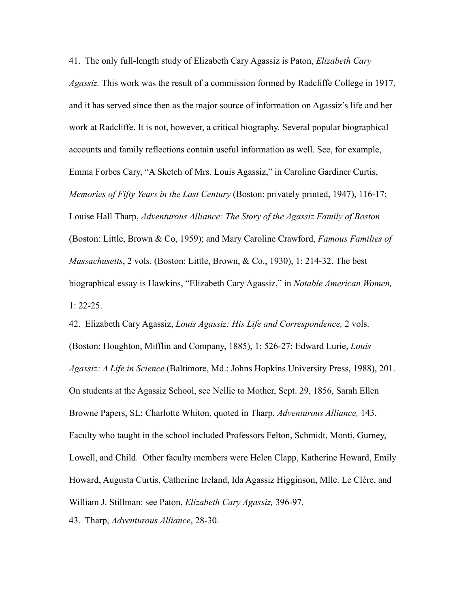<span id="page-48-0"></span>41. The only full-length study of Elizabeth Cary Agassiz is Paton, *Elizabeth Cary Agassiz.* This work was the result of a commission formed by Radcliffe College in 1917, and it has served since then as the major source of information on Agassiz's life and her work at Radcliffe. It is not, however, a critical biography. Several popular biographical accounts and family reflections contain useful information as well. See, for example, Emma Forbes Cary, "A Sketch of Mrs. Louis Agassiz," in Caroline Gardiner Curtis, *Memories of Fifty Years in the Last Century* (Boston: privately printed, 1947), 116-17; Louise Hall Tharp, *Adventurous Alliance: The Story of the Agassiz Family of Boston*  (Boston: Little, Brown & Co, 1959); and Mary Caroline Crawford, *Famous Families of Massachusetts*, 2 vols. (Boston: Little, Brown, & Co., 1930), 1: 214-32. The best biographical essay is Hawkins, "Elizabeth Cary Agassiz," in *Notable American Women,*  1: 22-25.

<span id="page-48-1"></span>42. Elizabeth Cary Agassiz, *Louis Agassiz: His Life and Correspondence,* 2 vols. (Boston: Houghton, Mifflin and Company, 1885), 1: 526-27; Edward Lurie, *Louis Agassiz: A Life in Science* (Baltimore, Md.: Johns Hopkins University Press, 1988), 201. On students at the Agassiz School, see Nellie to Mother, Sept. 29, 1856, Sarah Ellen Browne Papers, SL; Charlotte Whiton, quoted in Tharp, *Adventurous Alliance,* 143. Faculty who taught in the school included Professors Felton, Schmidt, Monti, Gurney, Lowell, and Child. Other faculty members were Helen Clapp, Katherine Howard, Emily Howard, Augusta Curtis, Catherine Ireland, Ida Agassiz Higginson, Mlle. Le Clère, and William J. Stillman: see Paton, *Elizabeth Cary Agassiz,* 396-97.

<span id="page-48-2"></span>43. Tharp, *Adventurous Alliance*, 28-30.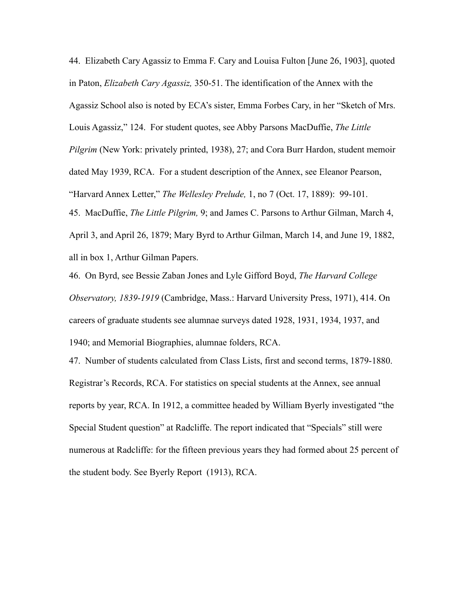<span id="page-49-0"></span>44. Elizabeth Cary Agassiz to Emma F. Cary and Louisa Fulton [June 26, 1903], quoted in Paton, *Elizabeth Cary Agassiz,* 350-51. The identification of the Annex with the Agassiz School also is noted by ECA's sister, Emma Forbes Cary, in her "Sketch of Mrs. Louis Agassiz," 124. For student quotes, see Abby Parsons MacDuffie, *The Little Pilgrim* (New York: privately printed, 1938), 27; and Cora Burr Hardon, student memoir dated May 1939, RCA. For a student description of the Annex, see Eleanor Pearson, "Harvard Annex Letter," *The Wellesley Prelude,* 1, no 7 (Oct. 17, 1889): 99-101. 45. MacDuffie, *The Little Pilgrim,* 9; and James C. Parsons to Arthur Gilman, March 4, April 3, and April 26, 1879; Mary Byrd to Arthur Gilman, March 14, and June 19, 1882,

<span id="page-49-1"></span>all in box 1, Arthur Gilman Papers.

<span id="page-49-2"></span>46. On Byrd, see Bessie Zaban Jones and Lyle Gifford Boyd, *The Harvard College Observatory, 1839-1919* (Cambridge, Mass.: Harvard University Press, 1971), 414. On careers of graduate students see alumnae surveys dated 1928, 1931, 1934, 1937, and 1940; and Memorial Biographies, alumnae folders, RCA.

<span id="page-49-3"></span>47. Number of students calculated from Class Lists, first and second terms, 1879-1880. Registrar's Records, RCA. For statistics on special students at the Annex, see annual reports by year, RCA. In 1912, a committee headed by William Byerly investigated "the Special Student question" at Radcliffe. The report indicated that "Specials" still were numerous at Radcliffe: for the fifteen previous years they had formed about 25 percent of the student body. See Byerly Report (1913), RCA.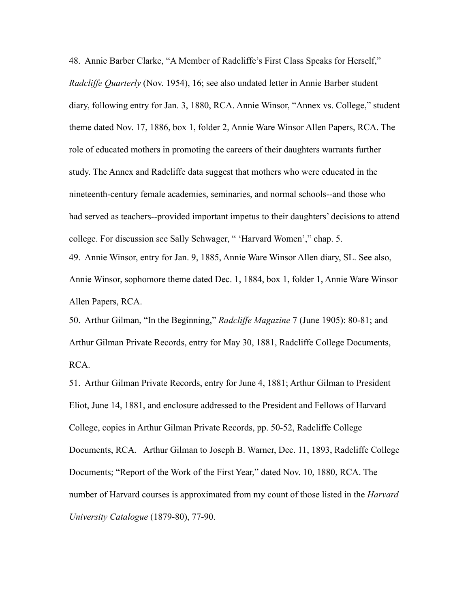<span id="page-50-0"></span>48. Annie Barber Clarke, "A Member of Radcliffe's First Class Speaks for Herself," *Radcliffe Quarterly* (Nov. 1954), 16; see also undated letter in Annie Barber student diary, following entry for Jan. 3, 1880, RCA. Annie Winsor, "Annex vs. College," student theme dated Nov. 17, 1886, box 1, folder 2, Annie Ware Winsor Allen Papers, RCA. The role of educated mothers in promoting the careers of their daughters warrants further study. The Annex and Radcliffe data suggest that mothers who were educated in the nineteenth-century female academies, seminaries, and normal schools--and those who had served as teachers--provided important impetus to their daughters' decisions to attend college. For discussion see Sally Schwager, " 'Harvard Women'," chap. 5. 49. Annie Winsor, entry for Jan. 9, 1885, Annie Ware Winsor Allen diary, SL. See also, Annie Winsor, sophomore theme dated Dec. 1, 1884, box 1, folder 1, Annie Ware Winsor Allen Papers, RCA.

<span id="page-50-2"></span><span id="page-50-1"></span>50. Arthur Gilman, "In the Beginning," *Radcliffe Magazine* 7 (June 1905): 80-81; and Arthur Gilman Private Records, entry for May 30, 1881, Radcliffe College Documents, RCA.

<span id="page-50-3"></span>51. Arthur Gilman Private Records, entry for June 4, 1881; Arthur Gilman to President Eliot, June 14, 1881, and enclosure addressed to the President and Fellows of Harvard College, copies in Arthur Gilman Private Records, pp. 50-52, Radcliffe College Documents, RCA. Arthur Gilman to Joseph B. Warner, Dec. 11, 1893, Radcliffe College Documents; "Report of the Work of the First Year," dated Nov. 10, 1880, RCA. The number of Harvard courses is approximated from my count of those listed in the *Harvard University Catalogue* (1879-80), 77-90.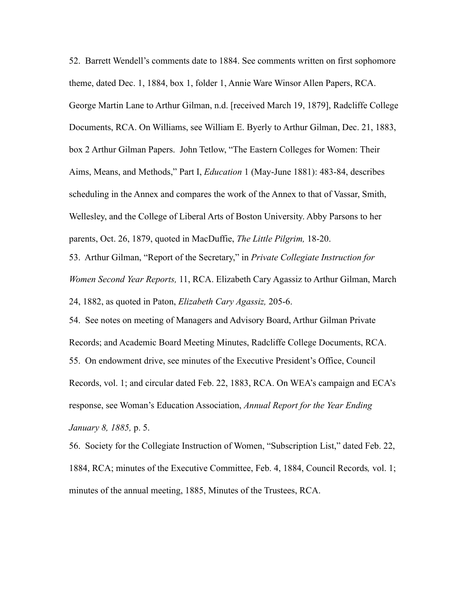<span id="page-51-0"></span>52. Barrett Wendell's comments date to 1884. See comments written on first sophomore theme, dated Dec. 1, 1884, box 1, folder 1, Annie Ware Winsor Allen Papers, RCA. George Martin Lane to Arthur Gilman, n.d. [received March 19, 1879], Radcliffe College Documents, RCA. On Williams, see William E. Byerly to Arthur Gilman, Dec. 21, 1883, box 2 Arthur Gilman Papers. John Tetlow, "The Eastern Colleges for Women: Their Aims, Means, and Methods," Part I, *Education* 1 (May-June 1881): 483-84, describes scheduling in the Annex and compares the work of the Annex to that of Vassar, Smith, Wellesley, and the College of Liberal Arts of Boston University. Abby Parsons to her parents, Oct. 26, 1879, quoted in MacDuffie, *The Little Pilgrim,* 18-20.

<span id="page-51-1"></span>53. Arthur Gilman, "Report of the Secretary," in *Private Collegiate Instruction for Women Second Year Reports,* 11, RCA. Elizabeth Cary Agassiz to Arthur Gilman, March 24, 1882, as quoted in Paton, *Elizabeth Cary Agassiz,* 205-6.

<span id="page-51-3"></span><span id="page-51-2"></span>54. See notes on meeting of Managers and Advisory Board, Arthur Gilman Private Records; and Academic Board Meeting Minutes, Radcliffe College Documents, RCA. 55. On endowment drive, see minutes of the Executive President's Office, Council Records, vol. 1; and circular dated Feb. 22, 1883, RCA. On WEA's campaign and ECA's response, see Woman's Education Association, *Annual Report for the Year Ending January 8, 1885,* p. 5.

<span id="page-51-4"></span>56. Society for the Collegiate Instruction of Women, "Subscription List," dated Feb. 22, 1884, RCA; minutes of the Executive Committee, Feb. 4, 1884, Council Records*,* vol. 1; minutes of the annual meeting, 1885, Minutes of the Trustees, RCA.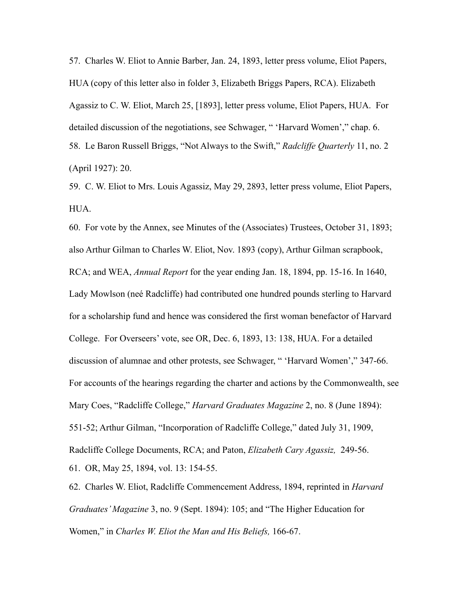<span id="page-52-0"></span>57. Charles W. Eliot to Annie Barber, Jan. 24, 1893, letter press volume, Eliot Papers, HUA (copy of this letter also in folder 3, Elizabeth Briggs Papers, RCA). Elizabeth Agassiz to C. W. Eliot, March 25, [1893], letter press volume, Eliot Papers, HUA. For detailed discussion of the negotiations, see Schwager, " 'Harvard Women'," chap. 6. 58. Le Baron Russell Briggs, "Not Always to the Swift," *Radcliffe Quarterly* 11, no. 2 (April 1927): 20.

<span id="page-52-2"></span><span id="page-52-1"></span>59. C. W. Eliot to Mrs. Louis Agassiz, May 29, 2893, letter press volume, Eliot Papers, **HUA** 

<span id="page-52-3"></span>60. For vote by the Annex, see Minutes of the (Associates) Trustees, October 31, 1893; also Arthur Gilman to Charles W. Eliot, Nov. 1893 (copy), Arthur Gilman scrapbook, RCA; and WEA, *Annual Report* for the year ending Jan. 18, 1894, pp. 15-16. In 1640, Lady Mowlson (neé Radcliffe) had contributed one hundred pounds sterling to Harvard for a scholarship fund and hence was considered the first woman benefactor of Harvard College. For Overseers' vote, see OR, Dec. 6, 1893, 13: 138, HUA. For a detailed discussion of alumnae and other protests, see Schwager, " 'Harvard Women'," 347-66. For accounts of the hearings regarding the charter and actions by the Commonwealth, see Mary Coes, "Radcliffe College," *Harvard Graduates Magazine* 2, no. 8 (June 1894): 551-52; Arthur Gilman, "Incorporation of Radcliffe College," dated July 31, 1909, Radcliffe College Documents, RCA; and Paton, *Elizabeth Cary Agassiz,* 249-56. 61. OR, May 25, 1894, vol. 13: 154-55.

<span id="page-52-5"></span><span id="page-52-4"></span>62. Charles W. Eliot, Radcliffe Commencement Address, 1894, reprinted in *Harvard Graduates' Magazine* 3, no. 9 (Sept. 1894): 105; and "The Higher Education for Women," in *Charles W. Eliot the Man and His Beliefs,* 166-67.